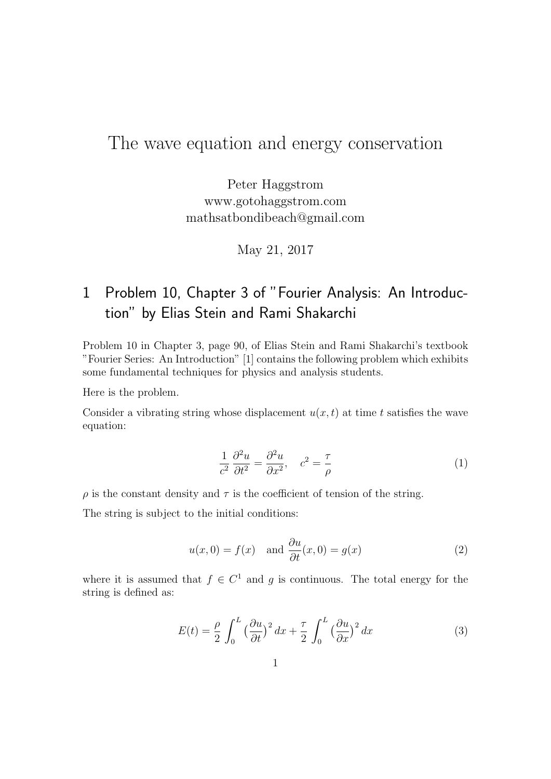# The wave equation and energy conservation

Peter Haggstrom www.gotohaggstrom.com mathsatbondibeach@gmail.com

May 21, 2017

# 1 Problem 10, Chapter 3 of "Fourier Analysis: An Introduction" by Elias Stein and Rami Shakarchi

Problem 10 in Chapter 3, page 90, of Elias Stein and Rami Shakarchi's textbook "Fourier Series: An Introduction" [1] contains the following problem which exhibits some fundamental techniques for physics and analysis students.

Here is the problem.

Consider a vibrating string whose displacement  $u(x, t)$  at time t satisfies the wave equation:

$$
\frac{1}{c^2} \frac{\partial^2 u}{\partial t^2} = \frac{\partial^2 u}{\partial x^2}, \quad c^2 = \frac{\tau}{\rho}
$$
 (1)

 $\rho$  is the constant density and  $\tau$  is the coefficient of tension of the string.

The string is subject to the initial conditions:

$$
u(x, 0) = f(x)
$$
 and  $\frac{\partial u}{\partial t}(x, 0) = g(x)$  (2)

where it is assumed that  $f \in C^1$  and g is continuous. The total energy for the string is defined as:

$$
E(t) = \frac{\rho}{2} \int_0^L \left(\frac{\partial u}{\partial t}\right)^2 dx + \frac{\tau}{2} \int_0^L \left(\frac{\partial u}{\partial x}\right)^2 dx \tag{3}
$$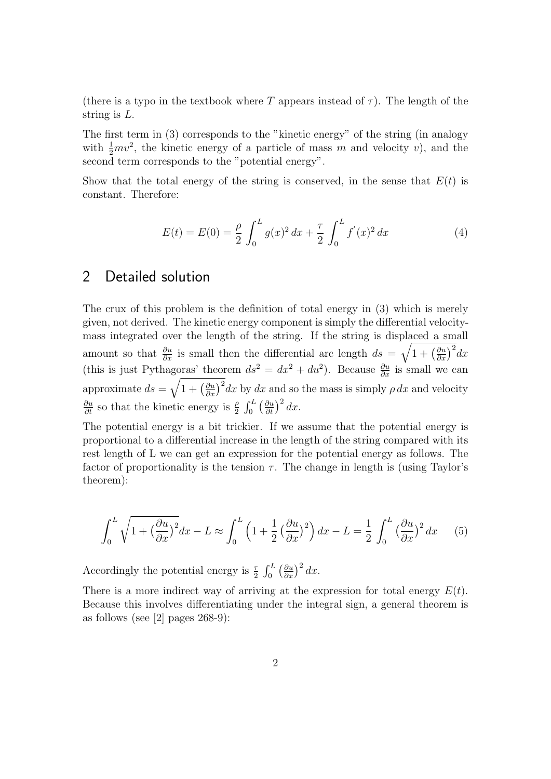(there is a typo in the textbook where T appears instead of  $\tau$ ). The length of the string is L.

The first term in (3) corresponds to the "kinetic energy" of the string (in analogy with  $\frac{1}{2}mv^2$ , the kinetic energy of a particle of mass m and velocity v), and the second term corresponds to the "potential energy".

Show that the total energy of the string is conserved, in the sense that  $E(t)$  is constant. Therefore:

$$
E(t) = E(0) = \frac{\rho}{2} \int_0^L g(x)^2 dx + \frac{\tau}{2} \int_0^L f'(x)^2 dx
$$
 (4)

### 2 Detailed solution

The crux of this problem is the definition of total energy in (3) which is merely given, not derived. The kinetic energy component is simply the differential velocitymass integrated over the length of the string. If the string is displaced a small amount so that  $\frac{\partial u}{\partial x}$  is small then the differential arc length  $ds = \sqrt{1 + (\frac{\partial u}{\partial x})^2} dx$ (this is just Pythagoras' theorem  $ds^2 = dx^2 + du^2$ ). Because  $\frac{\partial u}{\partial x}$  is small we can approximate  $ds = \sqrt{1 + \left(\frac{\partial u}{\partial x}\right)^2} dx$  by dx and so the mass is simply  $\rho dx$  and velocity  $\frac{\partial u}{\partial t}$  so that the kinetic energy is  $\frac{\rho}{2} \int_0^L \left(\frac{\partial u}{\partial t}\right)^2 dx$ .

The potential energy is a bit trickier. If we assume that the potential energy is proportional to a differential increase in the length of the string compared with its rest length of L we can get an expression for the potential energy as follows. The factor of proportionality is the tension  $\tau$ . The change in length is (using Taylor's theorem):

$$
\int_0^L \sqrt{1 + \left(\frac{\partial u}{\partial x}\right)^2} dx - L \approx \int_0^L \left(1 + \frac{1}{2} \left(\frac{\partial u}{\partial x}\right)^2\right) dx - L = \frac{1}{2} \int_0^L \left(\frac{\partial u}{\partial x}\right)^2 dx \tag{5}
$$

Accordingly the potential energy is  $\frac{\tau}{2} \int_0^L \left(\frac{\partial u}{\partial x}\right)^2 dx$ .

There is a more indirect way of arriving at the expression for total energy  $E(t)$ . Because this involves differentiating under the integral sign, a general theorem is as follows (see [2] pages 268-9):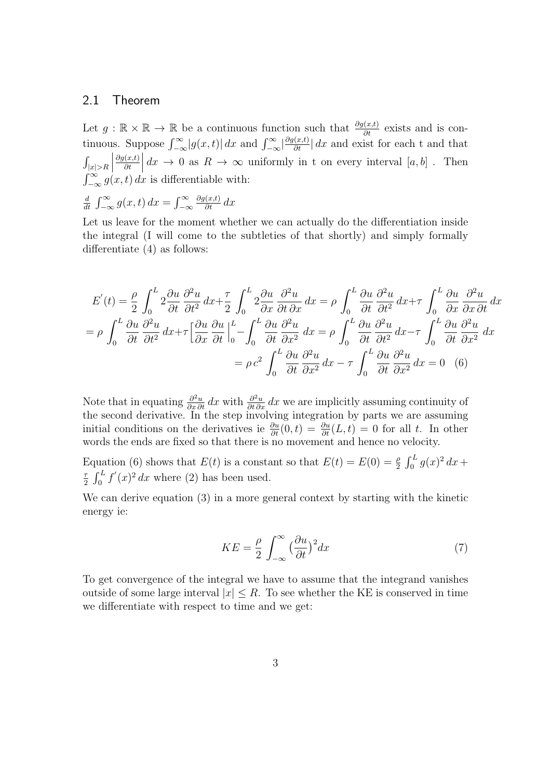#### 2.1 Theorem

Let  $g : \mathbb{R} \times \mathbb{R} \to \mathbb{R}$  be a continuous function such that  $\frac{\partial g(x,t)}{\partial t}$  exists and is continuous. Suppose  $\int_{-\infty}^{\infty} |g(x,t)| dx$  and  $\int_{-\infty}^{\infty} \left|\frac{\partial g(x,t)}{\partial t}\right| dx$  and exist for each t and that  $\int_{|x|>R}$  $\begin{array}{c} \hline \end{array}$  $\partial g(x,t)$ ∂t  $\begin{array}{c} \begin{array}{c} \begin{array}{c} \end{array} \\ \begin{array}{c} \end{array} \end{array} \end{array}$  $dx \to 0$  as  $R \to \infty$  uniformly in t on every interval  $[a, b]$ . Then  $\int_{-\infty}^{\infty} g(x, t) dx$  is differentiable with:

d  $\frac{d}{dt} \int_{-\infty}^{\infty} g(x, t) dx = \int_{-\infty}^{\infty}$  $\frac{\partial g(x,t)}{\partial t} dx$ 

Let us leave for the moment whether we can actually do the differentiation inside the integral (I will come to the subtleties of that shortly) and simply formally differentiate (4) as follows:

$$
E'(t) = \frac{\rho}{2} \int_0^L 2 \frac{\partial u}{\partial t} \frac{\partial^2 u}{\partial t^2} dx + \frac{\tau}{2} \int_0^L 2 \frac{\partial u}{\partial x} \frac{\partial^2 u}{\partial t \partial x} dx = \rho \int_0^L \frac{\partial u}{\partial t} \frac{\partial^2 u}{\partial t^2} dx + \tau \int_0^L \frac{\partial u}{\partial x} \frac{\partial^2 u}{\partial x \partial t} dx
$$
  
=  $\rho \int_0^L \frac{\partial u}{\partial t} \frac{\partial^2 u}{\partial t^2} dx + \tau \left[ \frac{\partial u}{\partial x} \frac{\partial u}{\partial t} \right]_0^L - \int_0^L \frac{\partial u}{\partial t} \frac{\partial^2 u}{\partial x^2} dx = \rho \int_0^L \frac{\partial u}{\partial t} \frac{\partial^2 u}{\partial t^2} dx - \tau \int_0^L \frac{\partial u}{\partial t} \frac{\partial^2 u}{\partial x^2} dx$   
=  $\rho c^2 \int_0^L \frac{\partial u}{\partial t} \frac{\partial^2 u}{\partial x^2} dx - \tau \int_0^L \frac{\partial u}{\partial t} \frac{\partial^2 u}{\partial x^2} dx = 0$  (6)

Note that in equating  $\frac{\partial^2 u}{\partial x \partial t} dx$  with  $\frac{\partial^2 u}{\partial t \partial x} dx$  we are implicitly assuming continuity of the second derivative. In the step involving integration by parts we are assuming initial conditions on the derivatives ie  $\frac{\partial u}{\partial t}(0,t) = \frac{\partial u}{\partial t}(L,t) = 0$  for all t. In other words the ends are fixed so that there is no movement and hence no velocity.

Equation (6) shows that  $E(t)$  is a constant so that  $E(t) = E(0) = \frac{\rho}{2} \int_0^L g(x)^2 dx +$ τ  $\frac{\tau}{2}$   $\int_0^L f'(x)^2 dx$  where (2) has been used.

We can derive equation (3) in a more general context by starting with the kinetic energy ie:

$$
KE = \frac{\rho}{2} \int_{-\infty}^{\infty} \left(\frac{\partial u}{\partial t}\right)^2 dx \tag{7}
$$

To get convergence of the integral we have to assume that the integrand vanishes outside of some large interval  $|x| \leq R$ . To see whether the KE is conserved in time we differentiate with respect to time and we get: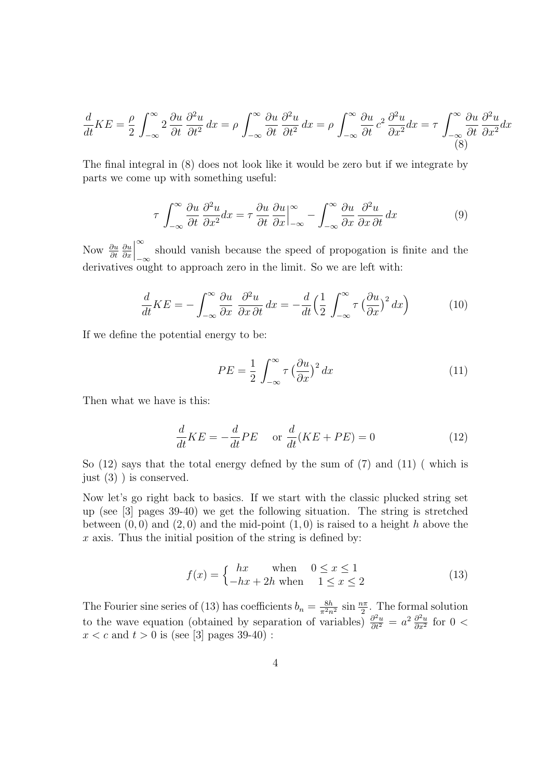$$
\frac{d}{dt}KE = \frac{\rho}{2} \int_{-\infty}^{\infty} 2 \frac{\partial u}{\partial t} \frac{\partial^2 u}{\partial t^2} dx = \rho \int_{-\infty}^{\infty} \frac{\partial u}{\partial t} \frac{\partial^2 u}{\partial t^2} dx = \rho \int_{-\infty}^{\infty} \frac{\partial u}{\partial t} c^2 \frac{\partial^2 u}{\partial x^2} dx = \tau \int_{-\infty}^{\infty} \frac{\partial u}{\partial t} \frac{\partial^2 u}{\partial x^2} dx
$$
\n(8)

The final integral in (8) does not look like it would be zero but if we integrate by parts we come up with something useful:

$$
\tau \int_{-\infty}^{\infty} \frac{\partial u}{\partial t} \frac{\partial^2 u}{\partial x^2} dx = \tau \frac{\partial u}{\partial t} \frac{\partial u}{\partial x} \Big|_{-\infty}^{\infty} - \int_{-\infty}^{\infty} \frac{\partial u}{\partial x} \frac{\partial^2 u}{\partial x \partial t} dx \tag{9}
$$

Now  $\frac{\partial u}{\partial t}$ ∂u ∂x  $\begin{array}{c} \begin{array}{c} \begin{array}{c} \end{array} \\ \begin{array}{c} \end{array} \end{array} \end{array}$ ∞ −∞ should vanish because the speed of propogation is finite and the derivatives ought to approach zero in the limit. So we are left with:

$$
\frac{d}{dt}KE = -\int_{-\infty}^{\infty} \frac{\partial u}{\partial x} \frac{\partial^2 u}{\partial x \partial t} dx = -\frac{d}{dt} \left( \frac{1}{2} \int_{-\infty}^{\infty} \tau \left( \frac{\partial u}{\partial x} \right)^2 dx \right)
$$
(10)

If we define the potential energy to be:

$$
PE = \frac{1}{2} \int_{-\infty}^{\infty} \tau \left(\frac{\partial u}{\partial x}\right)^2 dx \tag{11}
$$

Then what we have is this:

$$
\frac{d}{dt}KE = -\frac{d}{dt}PE \quad \text{or } \frac{d}{dt}(KE + PE) = 0 \tag{12}
$$

So  $(12)$  says that the total energy defned by the sum of  $(7)$  and  $(11)$  (which is just (3) ) is conserved.

Now let's go right back to basics. If we start with the classic plucked string set up (see [3] pages 39-40) we get the following situation. The string is stretched between  $(0, 0)$  and  $(2, 0)$  and the mid-point  $(1, 0)$  is raised to a height h above the  $x$  axis. Thus the initial position of the string is defined by:

$$
f(x) = \begin{cases} hx & \text{when} \quad 0 \le x \le 1\\ -hx + 2h & \text{when} \quad 1 \le x \le 2 \end{cases}
$$
(13)

The Fourier sine series of (13) has coefficients  $b_n = \frac{8h}{\pi^2 n^2} \sin \frac{n\pi}{2}$ . The formal solution to the wave equation (obtained by separation of variables)  $\frac{\partial^2 u}{\partial t^2} = a^2 \frac{\partial^2 u}{\partial x^2}$  $\frac{\partial^2 u}{\partial x^2}$  for  $0 <$  $x < c$  and  $t > 0$  is (see [3] pages 39-40):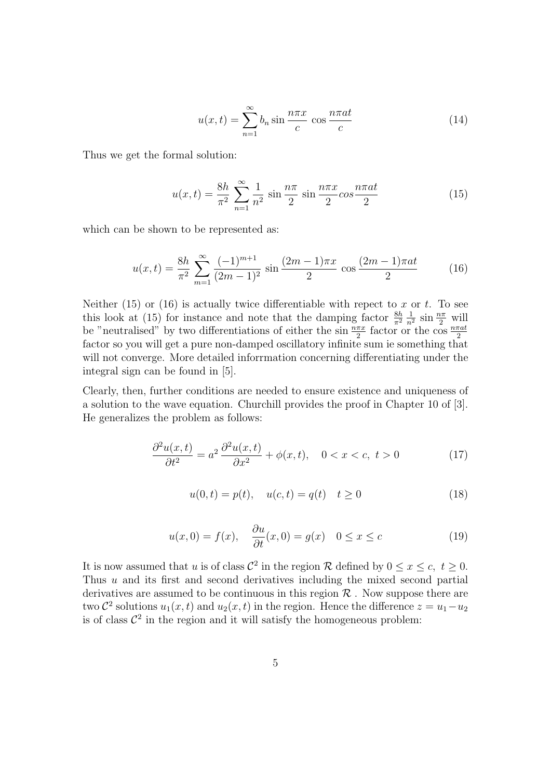$$
u(x,t) = \sum_{n=1}^{\infty} b_n \sin \frac{n\pi x}{c} \cos \frac{n\pi a t}{c}
$$
 (14)

Thus we get the formal solution:

$$
u(x,t) = \frac{8h}{\pi^2} \sum_{n=1}^{\infty} \frac{1}{n^2} \sin \frac{n\pi}{2} \sin \frac{n\pi x}{2} \cos \frac{n\pi a t}{2}
$$
 (15)

which can be shown to be represented as:

$$
u(x,t) = \frac{8h}{\pi^2} \sum_{m=1}^{\infty} \frac{(-1)^{m+1}}{(2m-1)^2} \sin \frac{(2m-1)\pi x}{2} \cos \frac{(2m-1)\pi a t}{2}
$$
 (16)

Neither (15) or (16) is actually twice differentiable with repect to  $x$  or  $t$ . To see this look at (15) for instance and note that the damping factor  $\frac{8h}{\pi^2}$  $rac{1}{n^2}$  sin  $rac{n\pi}{2}$  will be "neutralised" by two differentiations of either the  $\sin \frac{n\pi x}{2}$  factor or the  $\cos \frac{n\pi a t}{2}$  factor so you will get a pure non-damped oscillatory infinite sum ie something that will not converge. More detailed inforrmation concerning differentiating under the integral sign can be found in [5].

Clearly, then, further conditions are needed to ensure existence and uniqueness of a solution to the wave equation. Churchill provides the proof in Chapter 10 of [3]. He generalizes the problem as follows:

$$
\frac{\partial^2 u(x,t)}{\partial t^2} = a^2 \frac{\partial^2 u(x,t)}{\partial x^2} + \phi(x,t), \quad 0 < x < c, \ t > 0 \tag{17}
$$

$$
u(0,t) = p(t), \quad u(c,t) = q(t) \quad t \ge 0
$$
\n(18)

$$
u(x,0) = f(x), \quad \frac{\partial u}{\partial t}(x,0) = g(x) \quad 0 \le x \le c \tag{19}
$$

It is now assumed that u is of class  $\mathcal{C}^2$  in the region R defined by  $0 \le x \le c, t \ge 0$ . Thus  $u$  and its first and second derivatives including the mixed second partial derivatives are assumed to be continuous in this region  $\mathcal R$ . Now suppose there are two  $\mathcal{C}^2$  solutions  $u_1(x,t)$  and  $u_2(x,t)$  in the region. Hence the difference  $z = u_1 - u_2$ is of class  $\mathcal{C}^2$  in the region and it will satisfy the homogeneous problem: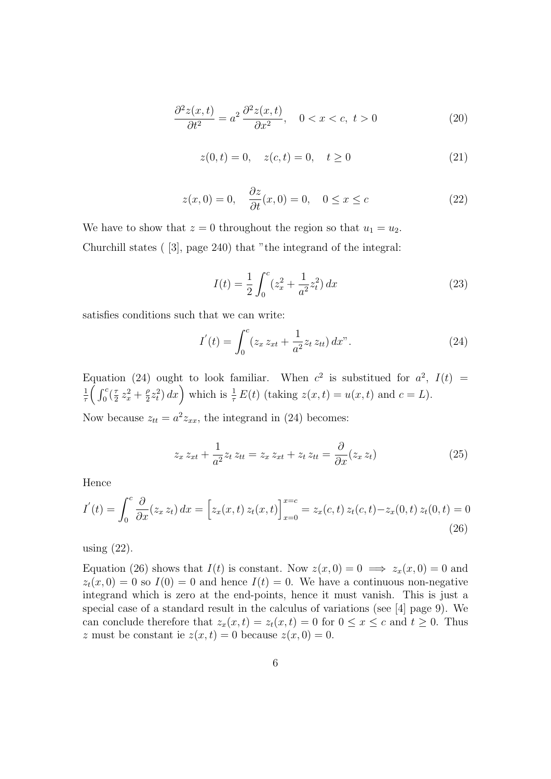$$
\frac{\partial^2 z(x,t)}{\partial t^2} = a^2 \frac{\partial^2 z(x,t)}{\partial x^2}, \quad 0 < x < c, \ t > 0 \tag{20}
$$

$$
z(0,t) = 0, \quad z(c,t) = 0, \quad t \ge 0
$$
 (21)

$$
z(x,0) = 0, \quad \frac{\partial z}{\partial t}(x,0) = 0, \quad 0 \le x \le c \tag{22}
$$

We have to show that  $z = 0$  throughout the region so that  $u_1 = u_2$ . Churchill states ( [3], page 240) that "the integrand of the integral:

$$
I(t) = \frac{1}{2} \int_0^c (z_x^2 + \frac{1}{a^2} z_t^2) dx
$$
 (23)

satisfies conditions such that we can write:

$$
I'(t) = \int_0^c (z_x z_{xt} + \frac{1}{a^2} z_t z_{tt}) dx''.
$$
 (24)

Equation (24) ought to look familiar. When  $c^2$  is substitued for  $a^2$ ,  $I(t)$  = 1  $\frac{1}{\tau} \Big( \int_0^c (\frac{\tau}{2}$  $\frac{\tau}{2} z_x^2 + \frac{\rho}{2}$  $\frac{p}{2}z_t^2\right)dx$  which is  $\frac{1}{\tau}E(t)$  (taking  $z(x,t) = u(x,t)$  and  $c = L$ ).

Now because  $z_{tt} = a^2 z_{xx}$ , the integrand in (24) becomes:

$$
z_x z_{xt} + \frac{1}{a^2} z_t z_{tt} = z_x z_{xt} + z_t z_{tt} = \frac{\partial}{\partial x} (z_x z_t)
$$
 (25)

Hence

$$
I'(t) = \int_0^c \frac{\partial}{\partial x}(z_x z_t) dx = \left[z_x(x, t) z_t(x, t)\right]_{x=0}^{x=c} = z_x(c, t) z_t(c, t) - z_x(0, t) z_t(0, t) = 0
$$
\n(26)

using (22).

Equation (26) shows that  $I(t)$  is constant. Now  $z(x, 0) = 0 \implies z_x(x, 0) = 0$  and  $z_t(x, 0) = 0$  so  $I(0) = 0$  and hence  $I(t) = 0$ . We have a continuous non-negative integrand which is zero at the end-points, hence it must vanish. This is just a special case of a standard result in the calculus of variations (see [4] page 9). We can conclude therefore that  $z_x(x,t) = z_t(x,t) = 0$  for  $0 \le x \le c$  and  $t \ge 0$ . Thus z must be constant ie  $z(x,t) = 0$  because  $z(x, 0) = 0$ .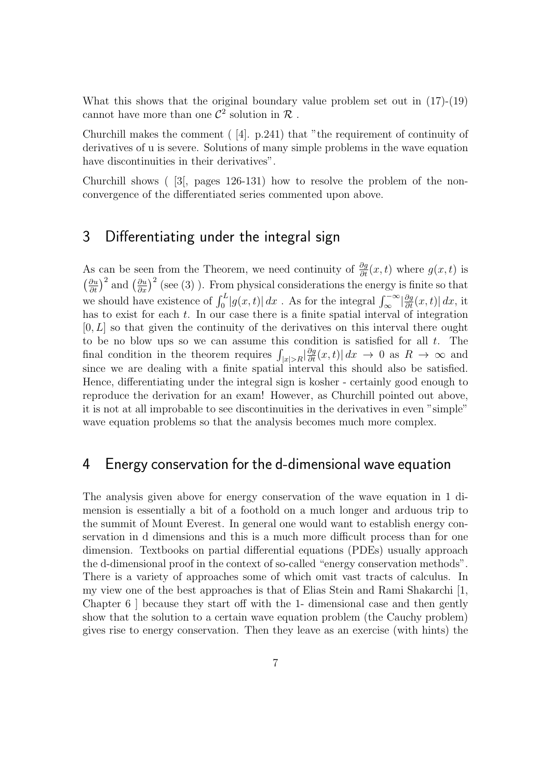What this shows that the original boundary value problem set out in (17)-(19) cannot have more than one  $\mathcal{C}^2$  solution in  $\mathcal{R}$ .

Churchill makes the comment ( [4]. p.241) that "the requirement of continuity of derivatives of u is severe. Solutions of many simple problems in the wave equation have discontinuities in their derivatives".

Churchill shows ( [3[, pages 126-131) how to resolve the problem of the nonconvergence of the differentiated series commented upon above.

## 3 Differentiating under the integral sign

As can be seen from the Theorem, we need continuity of  $\frac{\partial g}{\partial t}(x,t)$  where  $g(x,t)$  is  $\left(\frac{\partial u}{\partial t}\right)^2$  and  $\left(\frac{\partial u}{\partial x}\right)^2$  (see (3)). From physical considerations the energy is finite so that we should have existence of  $\int_0^L |g(x,t)| dx$ . As for the integral  $\int_{\infty}^{\infty} |\frac{\partial g}{\partial t}(x,t)| dx$ , it has to exist for each  $t$ . In our case there is a finite spatial interval of integration  $[0, L]$  so that given the continuity of the derivatives on this interval there ought to be no blow ups so we can assume this condition is satisfied for all  $t$ . The final condition in the theorem requires  $\int_{|x|>R} \left|\frac{\partial g}{\partial t}(x,t)\right| dx \to 0$  as  $R \to \infty$  and since we are dealing with a finite spatial interval this should also be satisfied. Hence, differentiating under the integral sign is kosher - certainly good enough to reproduce the derivation for an exam! However, as Churchill pointed out above, it is not at all improbable to see discontinuities in the derivatives in even "simple" wave equation problems so that the analysis becomes much more complex.

### 4 Energy conservation for the d-dimensional wave equation

The analysis given above for energy conservation of the wave equation in 1 dimension is essentially a bit of a foothold on a much longer and arduous trip to the summit of Mount Everest. In general one would want to establish energy conservation in d dimensions and this is a much more difficult process than for one dimension. Textbooks on partial differential equations (PDEs) usually approach the d-dimensional proof in the context of so-called "energy conservation methods". There is a variety of approaches some of which omit vast tracts of calculus. In my view one of the best approaches is that of Elias Stein and Rami Shakarchi [1, Chapter 6 ] because they start off with the 1- dimensional case and then gently show that the solution to a certain wave equation problem (the Cauchy problem) gives rise to energy conservation. Then they leave as an exercise (with hints) the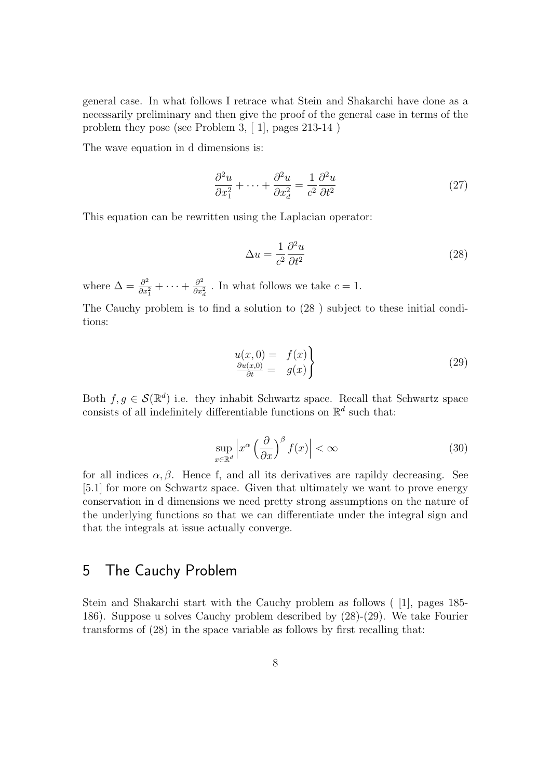general case. In what follows I retrace what Stein and Shakarchi have done as a necessarily preliminary and then give the proof of the general case in terms of the problem they pose (see Problem 3, [ 1], pages 213-14 )

The wave equation in d dimensions is:

$$
\frac{\partial^2 u}{\partial x_1^2} + \dots + \frac{\partial^2 u}{\partial x_d^2} = \frac{1}{c^2} \frac{\partial^2 u}{\partial t^2}
$$
 (27)

This equation can be rewritten using the Laplacian operator:

$$
\Delta u = \frac{1}{c^2} \frac{\partial^2 u}{\partial t^2} \tag{28}
$$

where  $\Delta = \frac{\partial^2}{\partial x^2}$  $\frac{\partial^2}{\partial x_1^2} + \cdots + \frac{\partial^2}{\partial x_n^2}$  $\frac{\partial^2}{\partial x_d^2}$ . In what follows we take  $c=1$ .

The Cauchy problem is to find a solution to (28 ) subject to these initial conditions:

$$
\begin{array}{rcl}\nu(x,0) &=& f(x) \\
\frac{\partial u(x,0)}{\partial t} &=& g(x)\n\end{array}\n\tag{29}
$$

Both  $f, g \in \mathcal{S}(\mathbb{R}^d)$  i.e. they inhabit Schwartz space. Recall that Schwartz space consists of all indefinitely differentiable functions on  $\mathbb{R}^d$  such that:

$$
\sup_{x \in \mathbb{R}^d} \left| x^{\alpha} \left( \frac{\partial}{\partial x} \right)^{\beta} f(x) \right| < \infty \tag{30}
$$

for all indices  $\alpha, \beta$ . Hence f, and all its derivatives are rapildy decreasing. See [5.1] for more on Schwartz space. Given that ultimately we want to prove energy conservation in d dimensions we need pretty strong assumptions on the nature of the underlying functions so that we can differentiate under the integral sign and that the integrals at issue actually converge.

### 5 The Cauchy Problem

Stein and Shakarchi start with the Cauchy problem as follows ( [1], pages 185- 186). Suppose u solves Cauchy problem described by (28)-(29). We take Fourier transforms of (28) in the space variable as follows by first recalling that: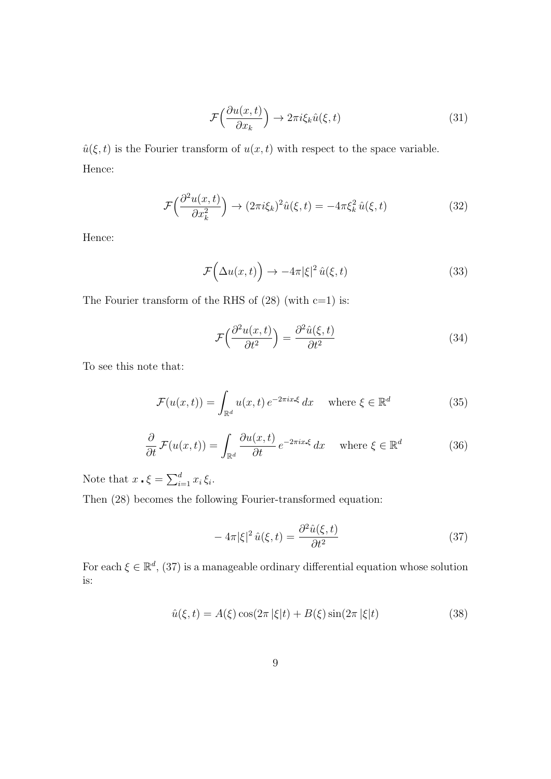$$
\mathcal{F}\left(\frac{\partial u(x,t)}{\partial x_k}\right) \to 2\pi i \xi_k \hat{u}(\xi,t)
$$
\n(31)

 $\hat{u}(\xi, t)$  is the Fourier transform of  $u(x, t)$  with respect to the space variable. Hence:

$$
\mathcal{F}\left(\frac{\partial^2 u(x,t)}{\partial x_k^2}\right) \to (2\pi i\xi_k)^2 \hat{u}(\xi,t) = -4\pi \xi_k^2 \hat{u}(\xi,t)
$$
 (32)

Hence:

$$
\mathcal{F}\Big(\Delta u(x,t)\Big) \to -4\pi|\xi|^2 \,\hat{u}(\xi,t) \tag{33}
$$

The Fourier transform of the RHS of  $(28)$  (with c=1) is:

$$
\mathcal{F}\left(\frac{\partial^2 u(x,t)}{\partial t^2}\right) = \frac{\partial^2 \hat{u}(\xi,t)}{\partial t^2}
$$
\n(34)

To see this note that:

$$
\mathcal{F}(u(x,t)) = \int_{\mathbb{R}^d} u(x,t) e^{-2\pi ix \cdot \xi} dx \quad \text{where } \xi \in \mathbb{R}^d \tag{35}
$$

$$
\frac{\partial}{\partial t} \mathcal{F}(u(x,t)) = \int_{\mathbb{R}^d} \frac{\partial u(x,t)}{\partial t} e^{-2\pi ix \cdot \xi} dx \quad \text{where } \xi \in \mathbb{R}^d \tag{36}
$$

Note that  $x \cdot \xi = \sum_{i=1}^d x_i \xi_i$ .

Then (28) becomes the following Fourier-transformed equation:

$$
-4\pi|\xi|^2 \hat{u}(\xi,t) = \frac{\partial^2 \hat{u}(\xi,t)}{\partial t^2}
$$
(37)

For each  $\xi \in \mathbb{R}^d$ , (37) is a manageable ordinary differential equation whose solution is:

$$
\hat{u}(\xi, t) = A(\xi) \cos(2\pi |\xi| t) + B(\xi) \sin(2\pi |\xi| t)
$$
\n(38)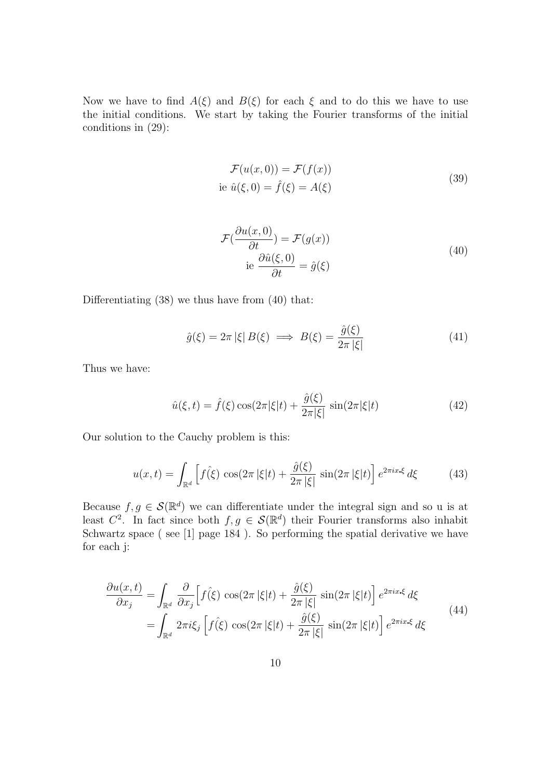Now we have to find  $A(\xi)$  and  $B(\xi)$  for each  $\xi$  and to do this we have to use the initial conditions. We start by taking the Fourier transforms of the initial conditions in (29):

$$
\mathcal{F}(u(x,0)) = \mathcal{F}(f(x))
$$
  
ie  $\hat{u}(\xi,0) = \hat{f}(\xi) = A(\xi)$  (39)

$$
\mathcal{F}(\frac{\partial u(x,0)}{\partial t}) = \mathcal{F}(g(x))
$$
  
ie 
$$
\frac{\partial \hat{u}(\xi,0)}{\partial t} = \hat{g}(\xi)
$$
 (40)

Differentiating (38) we thus have from (40) that:

$$
\hat{g}(\xi) = 2\pi |\xi| B(\xi) \implies B(\xi) = \frac{\hat{g}(\xi)}{2\pi |\xi|} \tag{41}
$$

Thus we have:

$$
\hat{u}(\xi, t) = \hat{f}(\xi)\cos(2\pi|\xi|t) + \frac{\hat{g}(\xi)}{2\pi|\xi|}\sin(2\pi|\xi|t)
$$
\n(42)

Our solution to the Cauchy problem is this:

$$
u(x,t) = \int_{\mathbb{R}^d} \left[ f(\xi) \cos(2\pi |\xi|t) + \frac{\hat{g}(\xi)}{2\pi |\xi|} \sin(2\pi |\xi|t) \right] e^{2\pi ix \cdot \xi} d\xi \tag{43}
$$

Because  $f, g \in \mathcal{S}(\mathbb{R}^d)$  we can differentiate under the integral sign and so u is at least  $C^2$ . In fact since both  $f, g \in \mathcal{S}(\mathbb{R}^d)$  their Fourier transforms also inhabit Schwartz space ( see [1] page 184 ). So performing the spatial derivative we have for each j:

$$
\frac{\partial u(x,t)}{\partial x_j} = \int_{\mathbb{R}^d} \frac{\partial}{\partial x_j} \Big[ f(\xi) \cos(2\pi |\xi|t) + \frac{\hat{g}(\xi)}{2\pi |\xi|} \sin(2\pi |\xi|t) \Big] e^{2\pi ix \cdot \xi} d\xi
$$
\n
$$
= \int_{\mathbb{R}^d} 2\pi i \xi_j \Big[ f(\xi) \cos(2\pi |\xi|t) + \frac{\hat{g}(\xi)}{2\pi |\xi|} \sin(2\pi |\xi|t) \Big] e^{2\pi ix \cdot \xi} d\xi
$$
\n(44)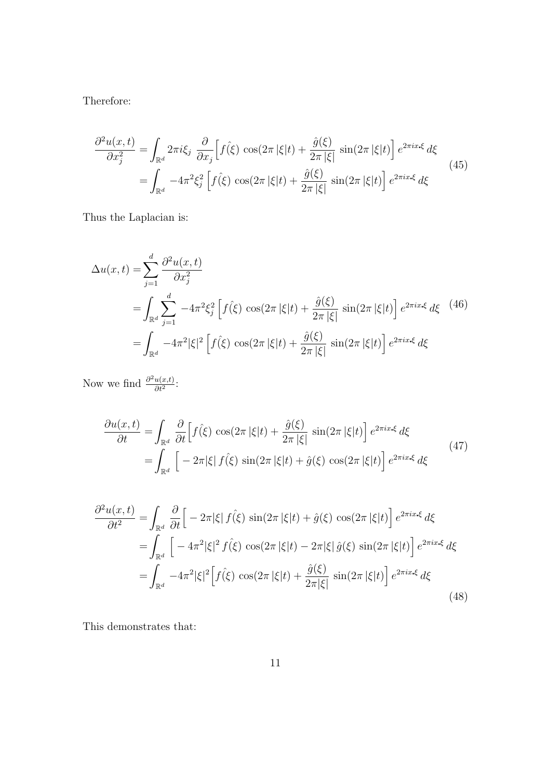Therefore:

$$
\frac{\partial^2 u(x,t)}{\partial x_j^2} = \int_{\mathbb{R}^d} 2\pi i \xi_j \frac{\partial}{\partial x_j} \left[ f(\xi) \cos(2\pi |\xi|t) + \frac{\hat{g}(\xi)}{2\pi |\xi|} \sin(2\pi |\xi|t) \right] e^{2\pi i x \cdot \xi} d\xi
$$
\n
$$
= \int_{\mathbb{R}^d} -4\pi^2 \xi_j^2 \left[ f(\xi) \cos(2\pi |\xi|t) + \frac{\hat{g}(\xi)}{2\pi |\xi|} \sin(2\pi |\xi|t) \right] e^{2\pi i x \cdot \xi} d\xi
$$
\n(45)

Thus the Laplacian is:

$$
\Delta u(x,t) = \sum_{j=1}^{d} \frac{\partial^2 u(x,t)}{\partial x_j^2}
$$
  
= 
$$
\int_{\mathbb{R}^d} \sum_{j=1}^{d} -4\pi^2 \xi_j^2 \left[ f(\xi) \cos(2\pi |\xi|t) + \frac{\hat{g}(\xi)}{2\pi |\xi|} \sin(2\pi |\xi|t) \right] e^{2\pi ix\cdot\xi} d\xi
$$
  
= 
$$
\int_{\mathbb{R}^d} -4\pi^2 |\xi|^2 \left[ f(\xi) \cos(2\pi |\xi|t) + \frac{\hat{g}(\xi)}{2\pi |\xi|} \sin(2\pi |\xi|t) \right] e^{2\pi ix\cdot\xi} d\xi
$$
 (46)

Now we find  $\frac{\partial^2 u(x,t)}{\partial t^2}$  $\frac{u(x,t)}{\partial t^2}$ :

$$
\frac{\partial u(x,t)}{\partial t} = \int_{\mathbb{R}^d} \frac{\partial}{\partial t} \Big[ f(\xi) \cos(2\pi |\xi|t) + \frac{\hat{g}(\xi)}{2\pi |\xi|} \sin(2\pi |\xi|t) \Big] e^{2\pi i x \cdot \xi} d\xi
$$
\n
$$
= \int_{\mathbb{R}^d} \Big[ -2\pi |\xi| f(\xi) \sin(2\pi |\xi|t) + \hat{g}(\xi) \cos(2\pi |\xi|t) \Big] e^{2\pi i x \cdot \xi} d\xi
$$
\n(47)

$$
\frac{\partial^2 u(x,t)}{\partial t^2} = \int_{\mathbb{R}^d} \frac{\partial}{\partial t} \Big[ -2\pi |\xi| \, f(\xi) \, \sin(2\pi |\xi|t) + \hat{g}(\xi) \, \cos(2\pi |\xi|t) \Big] \, e^{2\pi ix \cdot \xi} \, d\xi
$$
\n
$$
= \int_{\mathbb{R}^d} \Big[ -4\pi^2 |\xi|^2 \, f(\xi) \, \cos(2\pi |\xi|t) - 2\pi |\xi| \, \hat{g}(\xi) \, \sin(2\pi |\xi|t) \Big] \, e^{2\pi ix \cdot \xi} \, d\xi
$$
\n
$$
= \int_{\mathbb{R}^d} -4\pi^2 |\xi|^2 \Big[ f(\xi) \, \cos(2\pi |\xi|t) + \frac{\hat{g}(\xi)}{2\pi |\xi|} \, \sin(2\pi |\xi|t) \Big] \, e^{2\pi ix \cdot \xi} \, d\xi
$$
\n(48)

This demonstrates that: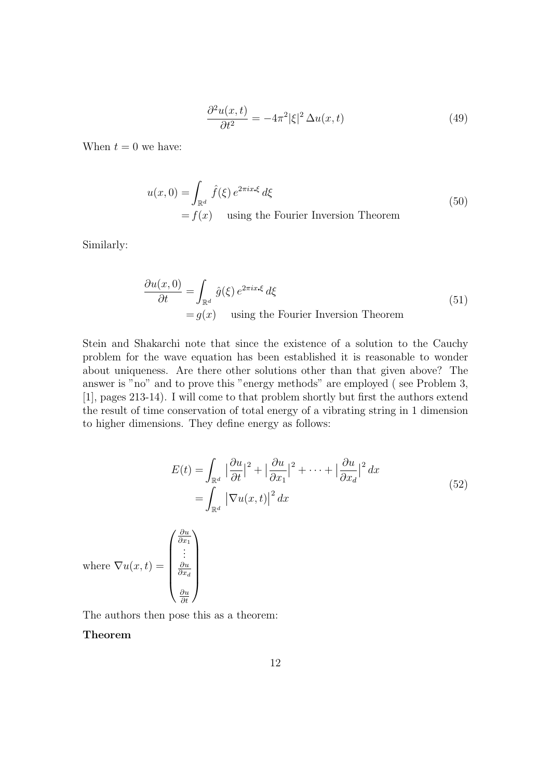$$
\frac{\partial^2 u(x,t)}{\partial t^2} = -4\pi^2 |\xi|^2 \Delta u(x,t)
$$
\n(49)

When  $t = 0$  we have:

$$
u(x,0) = \int_{\mathbb{R}^d} \hat{f}(\xi) e^{2\pi ix \cdot \xi} d\xi
$$
  
=  $f(x)$  using the Fourier Inversion Theorem (50)

Similarly:

$$
\frac{\partial u(x,0)}{\partial t} = \int_{\mathbb{R}^d} \hat{g}(\xi) e^{2\pi ix \cdot \xi} d\xi
$$
\n
$$
= g(x) \quad \text{using the Fourier Inversion Theorem} \tag{51}
$$

Stein and Shakarchi note that since the existence of a solution to the Cauchy problem for the wave equation has been established it is reasonable to wonder about uniqueness. Are there other solutions other than that given above? The answer is "no" and to prove this "energy methods" are employed ( see Problem 3, [1], pages 213-14). I will come to that problem shortly but first the authors extend the result of time conservation of total energy of a vibrating string in 1 dimension to higher dimensions. They define energy as follows:

$$
E(t) = \int_{\mathbb{R}^d} |\frac{\partial u}{\partial t}|^2 + |\frac{\partial u}{\partial x_1}|^2 + \dots + |\frac{\partial u}{\partial x_d}|^2 dx
$$
  
= 
$$
\int_{\mathbb{R}^d} |\nabla u(x, t)|^2 dx
$$
 (52)

where  $\nabla u(x,t) =$  $\sqrt{ }$  ∂x<sub>1</sub><br>: ∂u  $\partial x_d$ ∂u ∂t  $\setminus$  $\begin{array}{c} \hline \end{array}$ 

The authors then pose this as a theorem:

∂u

#### Theorem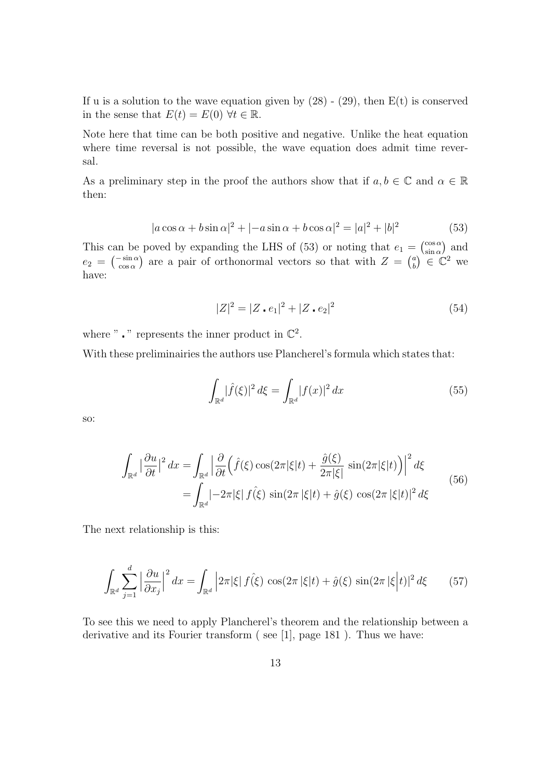If u is a solution to the wave equation given by  $(28)$  -  $(29)$ , then  $E(t)$  is conserved in the sense that  $E(t) = E(0) \,\forall t \in \mathbb{R}$ .

Note here that time can be both positive and negative. Unlike the heat equation where time reversal is not possible, the wave equation does admit time reversal.

As a preliminary step in the proof the authors show that if  $a, b \in \mathbb{C}$  and  $\alpha \in \mathbb{R}$ then:

$$
|a\cos\alpha + b\sin\alpha|^2 + |-a\sin\alpha + b\cos\alpha|^2 = |a|^2 + |b|^2
$$
 (53)

This can be poved by expanding the LHS of (53) or noting that  $e_1 = \begin{pmatrix} \cos \alpha \\ \sin \alpha \end{pmatrix}$  $\binom{\cos \alpha}{\sin \alpha}$  and  $e_2 = \begin{pmatrix} -\sin \alpha \\ \cos \alpha \end{pmatrix}$  are a pair of orthonormal vectors so that with  $Z = \begin{pmatrix} a \\ b \end{pmatrix}$  $\binom{a}{b} \in \mathbb{C}^2$  we have:

$$
|Z|^2 = |Z \cdot e_1|^2 + |Z \cdot e_2|^2 \tag{54}
$$

where " $\cdot$ " represents the inner product in  $\mathbb{C}^2$ .

With these preliminairies the authors use Plancherel's formula which states that:

$$
\int_{\mathbb{R}^d} |\widehat{f}(\xi)|^2 d\xi = \int_{\mathbb{R}^d} |f(x)|^2 dx \tag{55}
$$

so:

$$
\int_{\mathbb{R}^d} \left| \frac{\partial u}{\partial t} \right|^2 dx = \int_{\mathbb{R}^d} \left| \frac{\partial}{\partial t} \left( \hat{f}(\xi) \cos(2\pi |\xi| t) + \frac{\hat{g}(\xi)}{2\pi |\xi|} \sin(2\pi |\xi| t) \right) \right|^2 d\xi
$$
\n
$$
= \int_{\mathbb{R}^d} \left| -2\pi |\xi| \hat{f}(\xi) \sin(2\pi |\xi| t) + \hat{g}(\xi) \cos(2\pi |\xi| t) \right|^2 d\xi
$$
\n(56)

The next relationship is this:

$$
\int_{\mathbb{R}^d} \sum_{j=1}^d \left| \frac{\partial u}{\partial x_j} \right|^2 dx = \int_{\mathbb{R}^d} \left| 2\pi |\xi| \, f(\xi) \, \cos(2\pi |\xi| t) + \hat{g}(\xi) \, \sin(2\pi |\xi| t) \right|^2 d\xi \tag{57}
$$

To see this we need to apply Plancherel's theorem and the relationship between a derivative and its Fourier transform ( see [1], page 181 ). Thus we have: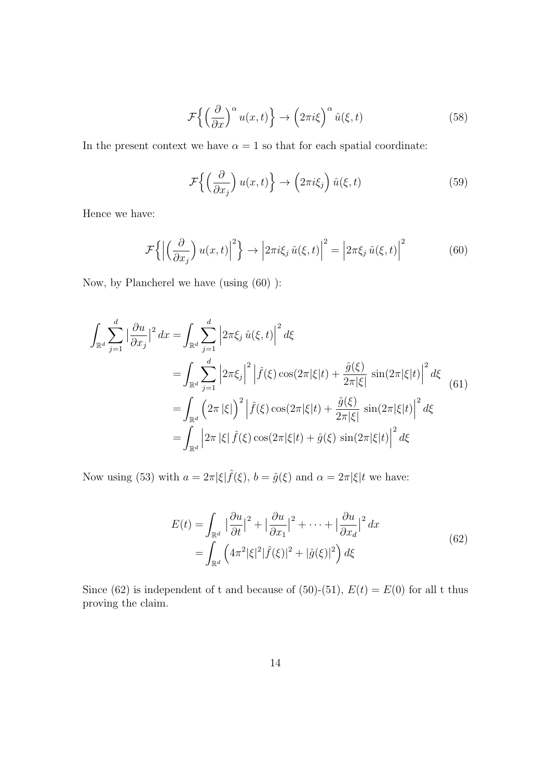$$
\mathcal{F}\left\{ \left(\frac{\partial}{\partial x}\right)^{\alpha} u(x,t) \right\} \to \left(2\pi i\xi\right)^{\alpha} \hat{u}(\xi,t) \tag{58}
$$

In the present context we have  $\alpha = 1$  so that for each spatial coordinate:

$$
\mathcal{F}\left\{ \left(\frac{\partial}{\partial x_j}\right)u(x,t)\right\} \to \left(2\pi i\xi_j\right)\hat{u}(\xi,t) \tag{59}
$$

Hence we have:

$$
\mathcal{F}\left\{ \left| \left( \frac{\partial}{\partial x_j} \right) u(x,t) \right|^2 \right\} \to \left| 2\pi i \xi_j \, \hat{u}(\xi,t) \right|^2 = \left| 2\pi \xi_j \, \hat{u}(\xi,t) \right|^2 \tag{60}
$$

Now, by Plancherel we have (using (60) ):

$$
\int_{\mathbb{R}^d} \sum_{j=1}^d \left| \frac{\partial u}{\partial x_j} \right|^2 dx = \int_{\mathbb{R}^d} \sum_{j=1}^d \left| 2\pi \xi_j \hat{u}(\xi, t) \right|^2 d\xi
$$
\n
$$
= \int_{\mathbb{R}^d} \sum_{j=1}^d \left| 2\pi \xi_j \right|^2 \left| \hat{f}(\xi) \cos(2\pi |\xi|t) + \frac{\hat{g}(\xi)}{2\pi |\xi|} \sin(2\pi |\xi|t) \right|^2 d\xi
$$
\n
$$
= \int_{\mathbb{R}^d} \left( 2\pi |\xi| \right)^2 \left| \hat{f}(\xi) \cos(2\pi |\xi|t) + \frac{\hat{g}(\xi)}{2\pi |\xi|} \sin(2\pi |\xi|t) \right|^2 d\xi
$$
\n
$$
= \int_{\mathbb{R}^d} \left| 2\pi |\xi| \hat{f}(\xi) \cos(2\pi |\xi|t) + \hat{g}(\xi) \sin(2\pi |\xi|t) \right|^2 d\xi
$$
\n(61)

Now using (53) with  $a = 2\pi |\xi| \hat{f}(\xi)$ ,  $b = \hat{g}(\xi)$  and  $\alpha = 2\pi |\xi| t$  we have:

$$
E(t) = \int_{\mathbb{R}^d} |\frac{\partial u}{\partial t}|^2 + |\frac{\partial u}{\partial x_1}|^2 + \dots + |\frac{\partial u}{\partial x_d}|^2 dx
$$
  
= 
$$
\int_{\mathbb{R}^d} (4\pi^2 |\xi|^2 |\hat{f}(\xi)|^2 + |\hat{g}(\xi)|^2) d\xi
$$
 (62)

Since (62) is independent of t and because of (50)-(51),  $E(t) = E(0)$  for all t thus proving the claim.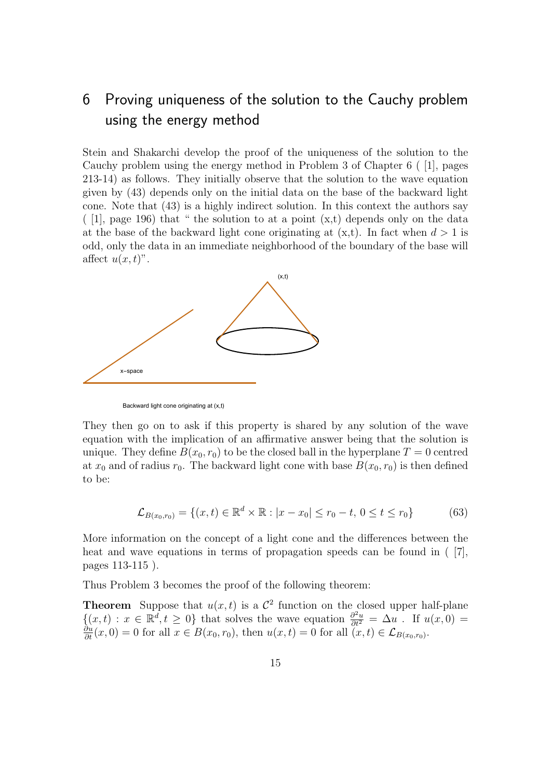# 6 Proving uniqueness of the solution to the Cauchy problem using the energy method

Stein and Shakarchi develop the proof of the uniqueness of the solution to the Cauchy problem using the energy method in Problem 3 of Chapter 6 ( [1], pages 213-14) as follows. They initially observe that the solution to the wave equation given by (43) depends only on the initial data on the base of the backward light cone. Note that (43) is a highly indirect solution. In this context the authors say  $($  [1], page 196) that " the solution to at a point  $(x,t)$  depends only on the data at the base of the backward light cone originating at  $(x,t)$ . In fact when  $d > 1$  is odd, only the data in an immediate neighborhood of the boundary of the base will affect  $u(x, t)$ ".



Backward light cone originating at (x,t)

They then go on to ask if this property is shared by any solution of the wave equation with the implication of an affirmative answer being that the solution is unique. They define  $B(x_0, r_0)$  to be the closed ball in the hyperplane  $T = 0$  centred at  $x_0$  and of radius  $r_0$ . The backward light cone with base  $B(x_0, r_0)$  is then defined to be:

$$
\mathcal{L}_{B(x_0,r_0)} = \{(x,t) \in \mathbb{R}^d \times \mathbb{R} : |x - x_0| \le r_0 - t, 0 \le t \le r_0\}
$$
(63)

More information on the concept of a light cone and the differences between the heat and wave equations in terms of propagation speeds can be found in ( $[7]$ , pages 113-115 ).

Thus Problem 3 becomes the proof of the following theorem:

**Theorem** Suppose that  $u(x,t)$  is a  $\mathcal{C}^2$  function on the closed upper half-plane  $\{(x,t): x \in \mathbb{R}^d, t \ge 0\}$  that solves the wave equation  $\frac{\partial^2 u}{\partial t^2} = \Delta u$ . If  $u(x,0) = \frac{\partial u}{\partial t}(x,0) = 0$  for all  $x \in B(x_0,r_0)$ , then  $u(x,t) = 0$  for all  $(x,t) \in \mathcal{L}_{B(x_0,r_0)}$ .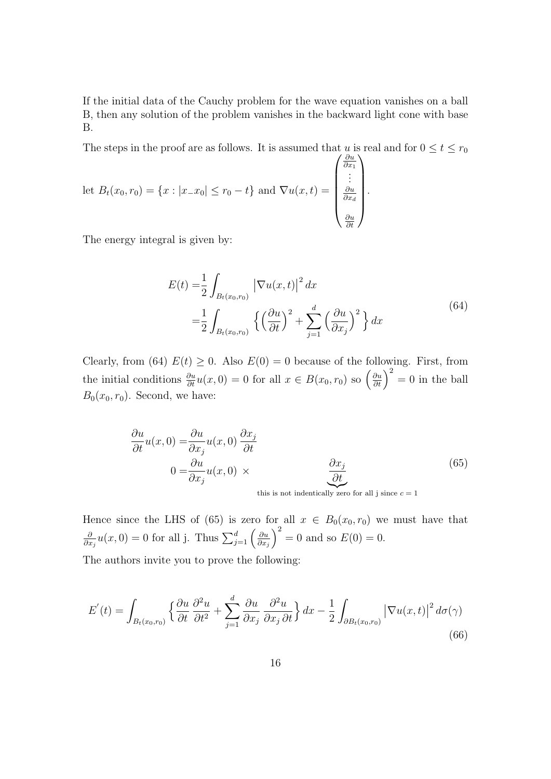If the initial data of the Cauchy problem for the wave equation vanishes on a ball B, then any solution of the problem vanishes in the backward light cone with base B.

The steps in the proof are as follows. It is assumed that u is real and for  $0 \le t \le r_0$ 

let 
$$
B_t(x_0, r_0) = \{x : |x_{-}x_0| \le r_0 - t\}
$$
 and  $\nabla u(x, t) = \begin{pmatrix} \frac{\partial u}{\partial x_1} \\ \vdots \\ \frac{\partial u}{\partial x_d} \\ \frac{\partial u}{\partial t} \end{pmatrix}$ .

The energy integral is given by:

$$
E(t) = \frac{1}{2} \int_{B_t(x_0, r_0)} \left| \nabla u(x, t) \right|^2 dx
$$
  

$$
= \frac{1}{2} \int_{B_t(x_0, r_0)} \left\{ \left( \frac{\partial u}{\partial t} \right)^2 + \sum_{j=1}^d \left( \frac{\partial u}{\partial x_j} \right)^2 \right\} dx
$$
 (64)

Clearly, from (64)  $E(t) \geq 0$ . Also  $E(0) = 0$  because of the following. First, from the initial conditions  $\frac{\partial u}{\partial t}u(x,0) = 0$  for all  $x \in B(x_0, r_0)$  so  $\left(\frac{\partial u}{\partial t}\right)^2 = 0$  in the ball  $B_0(x_0, r_0)$ . Second, we have:

$$
\frac{\partial u}{\partial t}u(x,0) = \frac{\partial u}{\partial x_j}u(x,0)\frac{\partial x_j}{\partial t}
$$
\n
$$
0 = \frac{\partial u}{\partial x_j}u(x,0) \times \qquad \qquad \frac{\partial x_j}{\partial t}
$$
\n(65)

this is not indentically zero for all j since  $c = 1$ 

Hence since the LHS of (65) is zero for all  $x \in B_0(x_0, r_0)$  we must have that ∂  $\frac{\partial}{\partial x_j}u(x,0) = 0$  for all j. Thus  $\sum_{j=1}^d \left(\frac{\partial u}{\partial x_j}\right)$  $\partial x_j$  $\big)^2 = 0$  and so  $E(0) = 0$ . The authors invite you to prove the following:

$$
E'(t) = \int_{B_t(x_0,r_0)} \left\{ \frac{\partial u}{\partial t} \frac{\partial^2 u}{\partial t^2} + \sum_{j=1}^d \frac{\partial u}{\partial x_j} \frac{\partial^2 u}{\partial x_j \partial t} \right\} dx - \frac{1}{2} \int_{\partial B_t(x_0,r_0)} \left| \nabla u(x,t) \right|^2 d\sigma(\gamma)
$$
\n(66)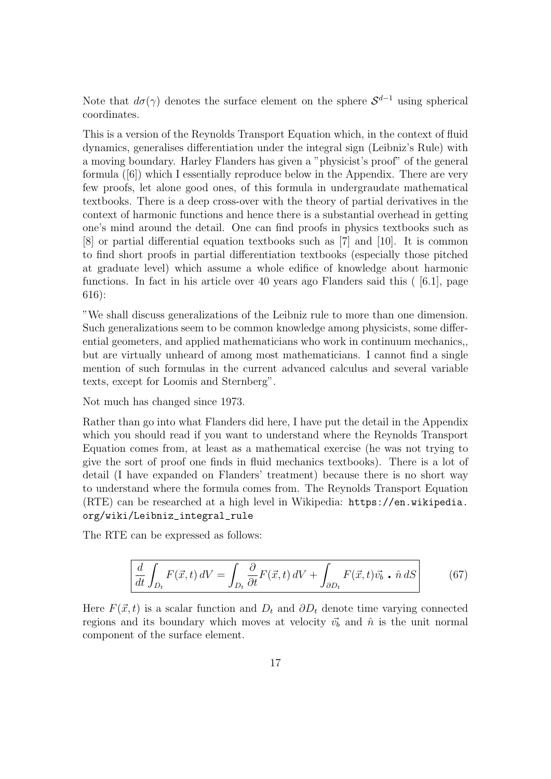Note that  $d\sigma(\gamma)$  denotes the surface element on the sphere  $S^{d-1}$  using spherical coordinates.

This is a version of the Reynolds Transport Equation which, in the context of fluid dynamics, generalises differentiation under the integral sign (Leibniz's Rule) with a moving boundary. Harley Flanders has given a "physicist's proof" of the general formula ([6]) which I essentially reproduce below in the Appendix. There are very few proofs, let alone good ones, of this formula in undergraudate mathematical textbooks. There is a deep cross-over with the theory of partial derivatives in the context of harmonic functions and hence there is a substantial overhead in getting one's mind around the detail. One can find proofs in physics textbooks such as [8] or partial differential equation textbooks such as [7] and [10]. It is common to find short proofs in partial differentiation textbooks (especially those pitched at graduate level) which assume a whole edifice of knowledge about harmonic functions. In fact in his article over 40 years ago Flanders said this ( [6.1], page 616):

"We shall discuss generalizations of the Leibniz rule to more than one dimension. Such generalizations seem to be common knowledge among physicists, some differential geometers, and applied mathematicians who work in continuum mechanics,, but are virtually unheard of among most mathematicians. I cannot find a single mention of such formulas in the current advanced calculus and several variable texts, except for Loomis and Sternberg".

Not much has changed since 1973.

Rather than go into what Flanders did here, I have put the detail in the Appendix which you should read if you want to understand where the Reynolds Transport Equation comes from, at least as a mathematical exercise (he was not trying to give the sort of proof one finds in fluid mechanics textbooks). There is a lot of detail (I have expanded on Flanders' treatment) because there is no short way to understand where the formula comes from. The Reynolds Transport Equation (RTE) can be researched at a high level in Wikipedia: [https://en.wikipedia.]( https://en.wikipedia.org/wiki/Leibniz_integral_rule ) [org/wiki/Leibniz\\_integral\\_rule]( https://en.wikipedia.org/wiki/Leibniz_integral_rule )

The RTE can be expressed as follows:

$$
\frac{d}{dt} \int_{D_t} F(\vec{x}, t) dV = \int_{D_t} \frac{\partial}{\partial t} F(\vec{x}, t) dV + \int_{\partial D_t} F(\vec{x}, t) \vec{v_b} \cdot \hat{n} dS
$$
(67)

Here  $F(\vec{x}, t)$  is a scalar function and  $D_t$  and  $\partial D_t$  denote time varying connected regions and its boundary which moves at velocity  $\vec{v}_b$  and  $\hat{n}$  is the unit normal component of the surface element.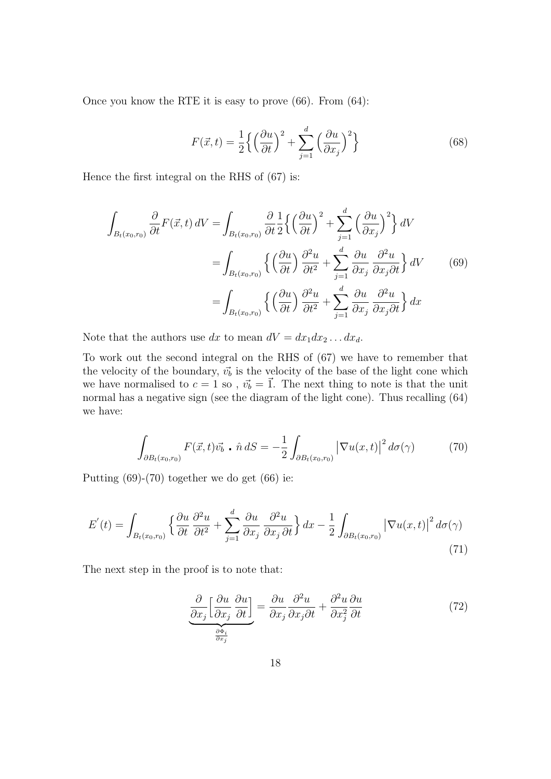Once you know the RTE it is easy to prove (66). From (64):

$$
F(\vec{x},t) = \frac{1}{2} \left\{ \left( \frac{\partial u}{\partial t} \right)^2 + \sum_{j=1}^d \left( \frac{\partial u}{\partial x_j} \right)^2 \right\}
$$
(68)

Hence the first integral on the RHS of (67) is:

$$
\int_{B_t(x_0,r_0)} \frac{\partial}{\partial t} F(\vec{x},t) dV = \int_{B_t(x_0,r_0)} \frac{\partial}{\partial t} \frac{1}{2} \left\{ \left(\frac{\partial u}{\partial t}\right)^2 + \sum_{j=1}^d \left(\frac{\partial u}{\partial x_j}\right)^2 \right\} dV
$$

$$
= \int_{B_t(x_0,r_0)} \left\{ \left(\frac{\partial u}{\partial t}\right) \frac{\partial^2 u}{\partial t^2} + \sum_{j=1}^d \frac{\partial u}{\partial x_j} \frac{\partial^2 u}{\partial x_j \partial t} \right\} dV \qquad (69)
$$

$$
= \int_{B_t(x_0,r_0)} \left\{ \left(\frac{\partial u}{\partial t}\right) \frac{\partial^2 u}{\partial t^2} + \sum_{j=1}^d \frac{\partial u}{\partial x_j} \frac{\partial^2 u}{\partial x_j \partial t} \right\} dx
$$

Note that the authors use dx to mean  $dV = dx_1 dx_2 \dots dx_d$ .

To work out the second integral on the RHS of (67) we have to remember that the velocity of the boundary,  $\vec{v_b}$  is the velocity of the base of the light cone which we have normalised to  $c = 1$  so,  $\vec{v}_b = \vec{1}$ . The next thing to note is that the unit normal has a negative sign (see the diagram of the light cone). Thus recalling (64) we have:

$$
\int_{\partial B_t(x_0,r_0)} F(\vec{x},t)\vec{v_b} \cdot \hat{n} dS = -\frac{1}{2} \int_{\partial B_t(x_0,r_0)} \left| \nabla u(x,t) \right|^2 d\sigma(\gamma) \tag{70}
$$

Putting (69)-(70) together we do get (66) ie:

$$
E'(t) = \int_{B_t(x_0, r_0)} \left\{ \frac{\partial u}{\partial t} \frac{\partial^2 u}{\partial t^2} + \sum_{j=1}^d \frac{\partial u}{\partial x_j} \frac{\partial^2 u}{\partial x_j \partial t} \right\} dx - \frac{1}{2} \int_{\partial B_t(x_0, r_0)} \left| \nabla u(x, t) \right|^2 d\sigma(\gamma)
$$
\n(71)

The next step in the proof is to note that:

$$
\underbrace{\frac{\partial}{\partial x_j} \left[ \frac{\partial u}{\partial x_j} \frac{\partial u}{\partial t} \right]}_{\frac{\partial \Phi_i}{\partial x_j}} = \underbrace{\frac{\partial u}{\partial x_j} \frac{\partial^2 u}{\partial x_j \partial t}}_{\frac{\partial x_j}{\partial t}} + \underbrace{\frac{\partial^2 u}{\partial x_j^2} \frac{\partial u}{\partial t}}_{\frac{\partial \Phi_i}{\partial x_j}} \tag{72}
$$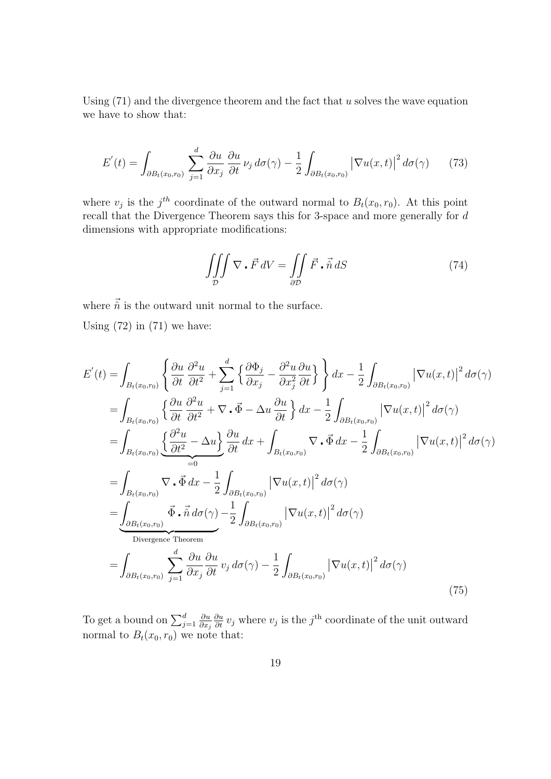Using  $(71)$  and the divergence theorem and the fact that u solves the wave equation we have to show that:

$$
E'(t) = \int_{\partial B_t(x_0, r_0)} \sum_{j=1}^d \frac{\partial u}{\partial x_j} \frac{\partial u}{\partial t} \nu_j d\sigma(\gamma) - \frac{1}{2} \int_{\partial B_t(x_0, r_0)} \left| \nabla u(x, t) \right|^2 d\sigma(\gamma) \tag{73}
$$

where  $v_j$  is the j<sup>th</sup> coordinate of the outward normal to  $B_t(x_0, r_0)$ . At this point recall that the Divergence Theorem says this for 3-space and more generally for d dimensions with appropriate modifications:

$$
\iiint_{\mathcal{D}} \nabla \cdot \vec{F} \, dV = \iint_{\partial \mathcal{D}} \vec{F} \cdot \vec{\hat{n}} \, dS \tag{74}
$$

where  $\vec{\hat{n}}$  is the outward unit normal to the surface.

Using  $(72)$  in  $(71)$  we have:

$$
E'(t) = \int_{B_t(x_0,r_0)} \left\{ \frac{\partial u}{\partial t} \frac{\partial^2 u}{\partial t^2} + \sum_{j=1}^d \left\{ \frac{\partial \Phi_j}{\partial x_j} - \frac{\partial^2 u}{\partial x_j^2} \frac{\partial u}{\partial t} \right\} \right\} dx - \frac{1}{2} \int_{\partial B_t(x_0,r_0)} |\nabla u(x,t)|^2 d\sigma(\gamma)
$$
  
\n
$$
= \int_{B_t(x_0,r_0)} \left\{ \frac{\partial u}{\partial t} \frac{\partial^2 u}{\partial t^2} + \nabla \cdot \vec{\Phi} - \Delta u \frac{\partial u}{\partial t} \right\} dx - \frac{1}{2} \int_{\partial B_t(x_0,r_0)} |\nabla u(x,t)|^2 d\sigma(\gamma)
$$
  
\n
$$
= \int_{B_t(x_0,r_0)} \left\{ \frac{\partial^2 u}{\partial t^2} - \Delta u \right\} \frac{\partial u}{\partial t} dx + \int_{B_t(x_0,r_0)} \nabla \cdot \vec{\Phi} dx - \frac{1}{2} \int_{\partial B_t(x_0,r_0)} |\nabla u(x,t)|^2 d\sigma(\gamma)
$$
  
\n
$$
= \int_{B_t(x_0,r_0)} \nabla \cdot \vec{\Phi} dx - \frac{1}{2} \int_{\partial B_t(x_0,r_0)} |\nabla u(x,t)|^2 d\sigma(\gamma)
$$
  
\n
$$
= \int_{\partial B_t(x_0,r_0)} \vec{\Phi} \cdot \vec{n} d\sigma(\gamma) - \frac{1}{2} \int_{\partial B_t(x_0,r_0)} |\nabla u(x,t)|^2 d\sigma(\gamma)
$$
  
\n
$$
= \int_{\partial B_t(x_0,r_0)} \sum_{j=1}^d \frac{\partial u}{\partial x_j} \frac{\partial u}{\partial t} v_j d\sigma(\gamma) - \frac{1}{2} \int_{\partial B_t(x_0,r_0)} |\nabla u(x,t)|^2 d\sigma(\gamma)
$$
  
\n(75)

To get a bound on  $\sum_{j=1}^{d}$ ∂u  $\partial x_j$  $\frac{\partial u}{\partial t} v_j$  where  $v_j$  is the j<sup>th</sup> coordinate of the unit outward normal to  $B_t(x_0, r_0)$  we note that: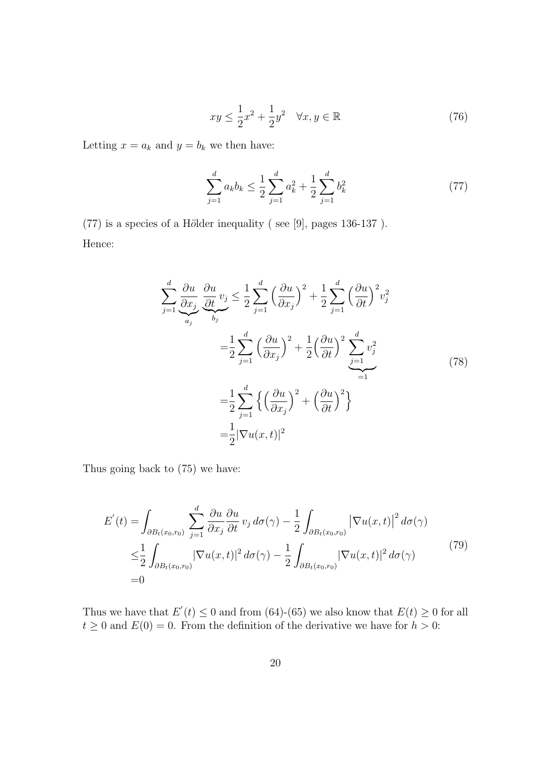$$
xy \le \frac{1}{2}x^2 + \frac{1}{2}y^2 \quad \forall x, y \in \mathbb{R}
$$
\n<sup>(76)</sup>

Letting  $x = a_k$  and  $y = b_k$  we then have:

$$
\sum_{j=1}^{d} a_k b_k \le \frac{1}{2} \sum_{j=1}^{d} a_k^2 + \frac{1}{2} \sum_{j=1}^{d} b_k^2
$$
\n(77)

 $(77)$  is a species of a Hölder inequality (see [9], pages 136-137). Hence:

$$
\sum_{j=1}^{d} \frac{\partial u}{\partial x_j} \frac{\partial u}{\partial t} v_j \leq \frac{1}{2} \sum_{j=1}^{d} \left(\frac{\partial u}{\partial x_j}\right)^2 + \frac{1}{2} \sum_{j=1}^{d} \left(\frac{\partial u}{\partial t}\right)^2 v_j^2
$$

$$
= \frac{1}{2} \sum_{j=1}^{d} \left(\frac{\partial u}{\partial x_j}\right)^2 + \frac{1}{2} \left(\frac{\partial u}{\partial t}\right)^2 \sum_{j=1}^{d} v_j^2
$$

$$
= \frac{1}{2} \sum_{j=1}^{d} \left\{\left(\frac{\partial u}{\partial x_j}\right)^2 + \left(\frac{\partial u}{\partial t}\right)^2\right\}
$$

$$
= \frac{1}{2} |\nabla u(x, t)|^2
$$
(78)

Thus going back to (75) we have:

$$
E'(t) = \int_{\partial B_t(x_0, r_0)} \sum_{j=1}^d \frac{\partial u}{\partial x_j} \frac{\partial u}{\partial t} v_j d\sigma(\gamma) - \frac{1}{2} \int_{\partial B_t(x_0, r_0)} |\nabla u(x, t)|^2 d\sigma(\gamma)
$$
  

$$
\leq \frac{1}{2} \int_{\partial B_t(x_0, r_0)} |\nabla u(x, t)|^2 d\sigma(\gamma) - \frac{1}{2} \int_{\partial B_t(x_0, r_0)} |\nabla u(x, t)|^2 d\sigma(\gamma)
$$
(79)  
=0

Thus we have that  $E'(t) \leq 0$  and from (64)-(65) we also know that  $E(t) \geq 0$  for all  $t \geq 0$  and  $E(0) = 0$ . From the definition of the derivative we have for  $h > 0$ :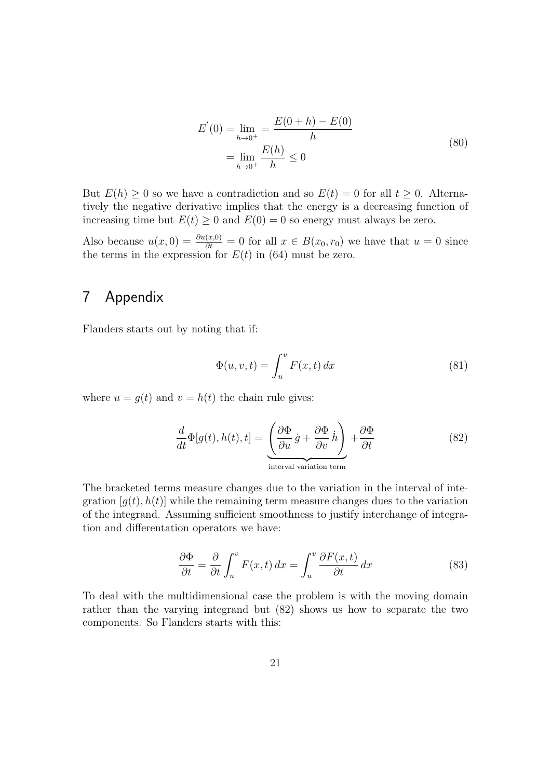$$
E'(0) = \lim_{h \to 0^{+}} = \frac{E(0+h) - E(0)}{h}
$$
  
= 
$$
\lim_{h \to 0^{+}} \frac{E(h)}{h} \le 0
$$
 (80)

But  $E(h) \geq 0$  so we have a contradiction and so  $E(t) = 0$  for all  $t \geq 0$ . Alternatively the negative derivative implies that the energy is a decreasing function of increasing time but  $E(t) \geq 0$  and  $E(0) = 0$  so energy must always be zero.

Also because  $u(x, 0) = \frac{\partial u(x,0)}{\partial t} = 0$  for all  $x \in B(x_0, r_0)$  we have that  $u = 0$  since the terms in the expression for  $E(t)$  in (64) must be zero.

### 7 Appendix

Flanders starts out by noting that if:

$$
\Phi(u, v, t) = \int_{u}^{v} F(x, t) dx \tag{81}
$$

where  $u = g(t)$  and  $v = h(t)$  the chain rule gives:

$$
\frac{d}{dt}\Phi[g(t),h(t),t] = \underbrace{\left(\frac{\partial\Phi}{\partial u}\dot{g} + \frac{\partial\Phi}{\partial v}\dot{h}\right)}_{\text{interval variation term}} + \frac{\partial\Phi}{\partial t}
$$
\n(82)

The bracketed terms measure changes due to the variation in the interval of integration  $[g(t), h(t)]$  while the remaining term measure changes dues to the variation of the integrand. Assuming sufficient smoothness to justify interchange of integration and differentation operators we have:

$$
\frac{\partial \Phi}{\partial t} = \frac{\partial}{\partial t} \int_{u}^{v} F(x, t) dx = \int_{u}^{v} \frac{\partial F(x, t)}{\partial t} dx \tag{83}
$$

To deal with the multidimensional case the problem is with the moving domain rather than the varying integrand but (82) shows us how to separate the two components. So Flanders starts with this: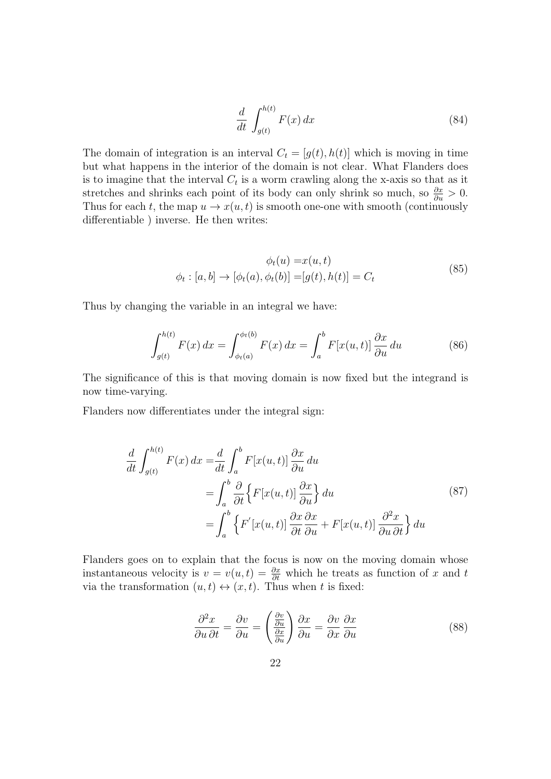$$
\frac{d}{dt} \int_{g(t)}^{h(t)} F(x) dx \tag{84}
$$

The domain of integration is an interval  $C_t = [g(t), h(t)]$  which is moving in time but what happens in the interior of the domain is not clear. What Flanders does is to imagine that the interval  $C_t$  is a worm crawling along the x-axis so that as it stretches and shrinks each point of its body can only shrink so much, so  $\frac{\partial x}{\partial u} > 0$ . Thus for each t, the map  $u \to x(u, t)$  is smooth one-one with smooth (continuously differentiable ) inverse. He then writes:

$$
\phi_t(u) = x(u, t)
$$
  

$$
\phi_t : [a, b] \rightarrow [\phi_t(a), \phi_t(b)] = [g(t), h(t)] = C_t
$$
 (85)

Thus by changing the variable in an integral we have:

$$
\int_{g(t)}^{h(t)} F(x) dx = \int_{\phi_t(a)}^{\phi_t(b)} F(x) dx = \int_a^b F[x(u, t)] \frac{\partial x}{\partial u} du \tag{86}
$$

The significance of this is that moving domain is now fixed but the integrand is now time-varying.

Flanders now differentiates under the integral sign:

$$
\frac{d}{dt} \int_{g(t)}^{h(t)} F(x) dx = \frac{d}{dt} \int_{a}^{b} F[x(u, t)] \frac{\partial x}{\partial u} du
$$
\n
$$
= \int_{a}^{b} \frac{\partial}{\partial t} \left\{ F[x(u, t)] \frac{\partial x}{\partial u} \right\} du
$$
\n
$$
= \int_{a}^{b} \left\{ F'[x(u, t)] \frac{\partial x}{\partial t} \frac{\partial x}{\partial u} + F[x(u, t)] \frac{\partial^2 x}{\partial u \partial t} \right\} du
$$
\n(87)

Flanders goes on to explain that the focus is now on the moving domain whose instantaneous velocity is  $v = v(u, t) = \frac{\partial x}{\partial t}$  which he treats as function of x and t via the transformation  $(u, t) \leftrightarrow (x, t)$ . Thus when t is fixed:

$$
\frac{\partial^2 x}{\partial u \partial t} = \frac{\partial v}{\partial u} = \left(\frac{\frac{\partial v}{\partial u}}{\frac{\partial x}{\partial u}}\right) \frac{\partial x}{\partial u} = \frac{\partial v}{\partial x} \frac{\partial x}{\partial u}
$$
(88)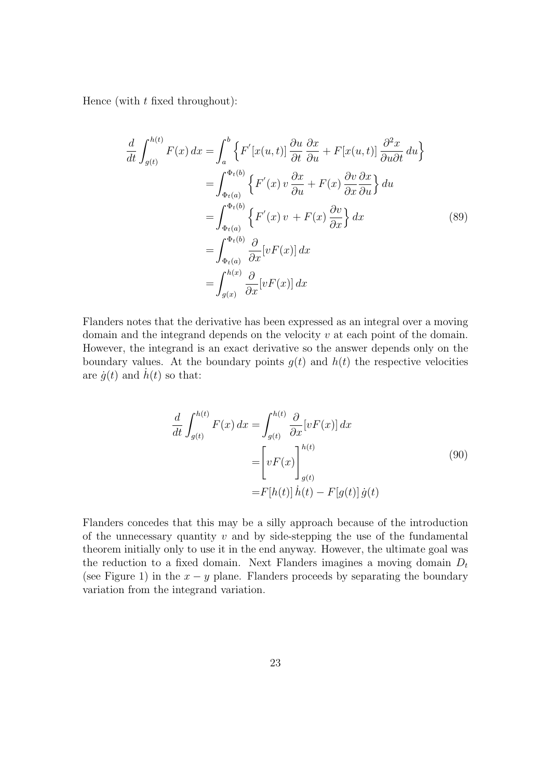Hence (with  $t$  fixed throughout):

$$
\frac{d}{dt} \int_{g(t)}^{h(t)} F(x) dx = \int_{a}^{b} \left\{ F'[x(u,t)] \frac{\partial u}{\partial t} \frac{\partial x}{\partial u} + F[x(u,t)] \frac{\partial^2 x}{\partial u \partial t} du \right\}
$$
\n
$$
= \int_{\Phi_t(a)}^{\Phi_t(b)} \left\{ F'(x) v \frac{\partial x}{\partial u} + F(x) \frac{\partial v}{\partial x} \frac{\partial x}{\partial u} \right\} du
$$
\n
$$
= \int_{\Phi_t(a)}^{\Phi_t(b)} \left\{ F'(x) v + F(x) \frac{\partial v}{\partial x} \right\} dx
$$
\n
$$
= \int_{\Phi_t(a)}^{\Phi_t(b)} \frac{\partial}{\partial x} [vF(x)] dx
$$
\n
$$
= \int_{g(x)}^{h(x)} \frac{\partial}{\partial x} [vF(x)] dx
$$
\n(89)

Flanders notes that the derivative has been expressed as an integral over a moving domain and the integrand depends on the velocity  $v$  at each point of the domain. However, the integrand is an exact derivative so the answer depends only on the boundary values. At the boundary points  $g(t)$  and  $h(t)$  the respective velocities are  $\dot{q}(t)$  and  $h(t)$  so that:

$$
\frac{d}{dt} \int_{g(t)}^{h(t)} F(x) dx = \int_{g(t)}^{h(t)} \frac{\partial}{\partial x} [vF(x)] dx
$$

$$
= \left[ vF(x) \right]_{g(t)}^{h(t)} \tag{90}
$$

$$
= F[h(t)] h(t) - F[g(t)] g(t)
$$

Flanders concedes that this may be a silly approach because of the introduction of the unnecessary quantity  $v$  and by side-stepping the use of the fundamental theorem initially only to use it in the end anyway. However, the ultimate goal was the reduction to a fixed domain. Next Flanders imagines a moving domain  $D_t$ (see Figure 1) in the  $x - y$  plane. Flanders proceeds by separating the boundary variation from the integrand variation.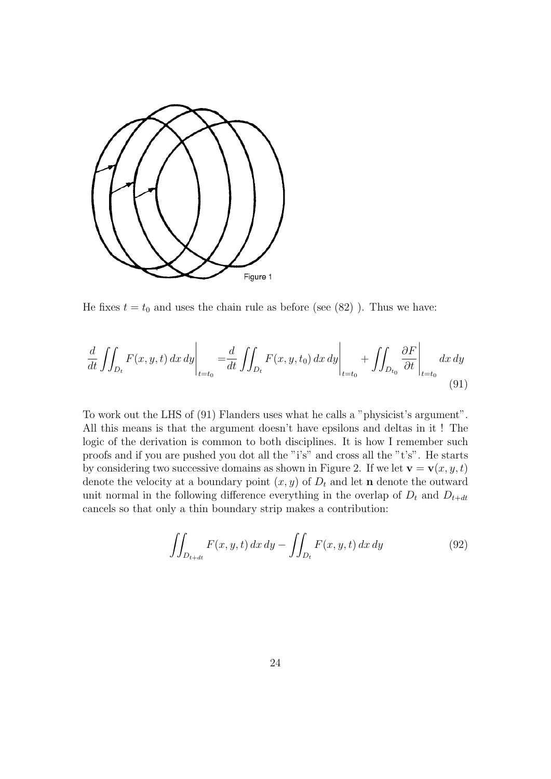

He fixes  $t = t_0$  and uses the chain rule as before (see (82)). Thus we have:

$$
\frac{d}{dt} \iint_{D_t} F(x, y, t) dx dy \bigg|_{t=t_0} = \frac{d}{dt} \iint_{D_t} F(x, y, t_0) dx dy \bigg|_{t=t_0} + \iint_{D_{t_0}} \frac{\partial F}{\partial t} \bigg|_{t=t_0} dx dy
$$
\n(91)

To work out the LHS of (91) Flanders uses what he calls a "physicist's argument". All this means is that the argument doesn't have epsilons and deltas in it ! The logic of the derivation is common to both disciplines. It is how I remember such proofs and if you are pushed you dot all the "i's" and cross all the "t's". He starts by considering two successive domains as shown in Figure 2. If we let  $\mathbf{v} = \mathbf{v}(x, y, t)$ denote the velocity at a boundary point  $(x, y)$  of  $D_t$  and let **n** denote the outward unit normal in the following difference everything in the overlap of  $D_t$  and  $D_{t+dt}$ cancels so that only a thin boundary strip makes a contribution:

$$
\iint_{D_{t+dt}} F(x, y, t) dx dy - \iint_{D_t} F(x, y, t) dx dy \tag{92}
$$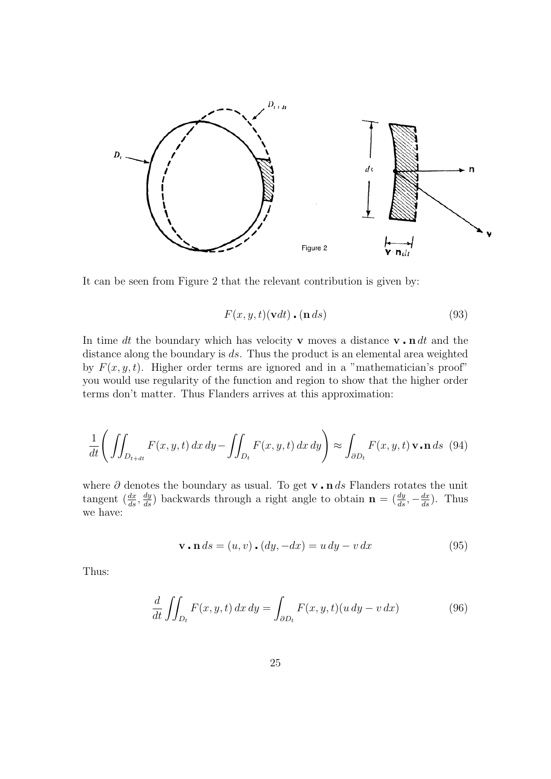

It can be seen from Figure 2 that the relevant contribution is given by:

$$
F(x, y, t)(\mathbf{v}dt) \cdot (\mathbf{n} ds) \tag{93}
$$

In time dt the boundary which has velocity **v** moves a distance **v**.  $\mathbf{n} dt$  and the distance along the boundary is ds. Thus the product is an elemental area weighted by  $F(x, y, t)$ . Higher order terms are ignored and in a "mathematician's proof" you would use regularity of the function and region to show that the higher order terms don't matter. Thus Flanders arrives at this approximation:

$$
\frac{1}{dt} \left( \iint_{D_{t+dt}} F(x, y, t) dx dy - \iint_{D_t} F(x, y, t) dx dy \right) \approx \int_{\partial D_t} F(x, y, t) \mathbf{v} \cdot \mathbf{n} ds \tag{94}
$$

where  $\partial$  denotes the boundary as usual. To get **v n** ds Flanders rotates the unit tangent  $(\frac{dx}{ds}, \frac{dy}{ds})$  backwards through a right angle to obtain  $\mathbf{n} = (\frac{dy}{ds}, -\frac{dx}{ds})$ . Thus we have:

$$
\mathbf{v} \cdot \mathbf{n} \, ds = (u, v) \cdot (dy, -dx) = u \, dy - v \, dx \tag{95}
$$

Thus:

$$
\frac{d}{dt} \iint_{D_t} F(x, y, t) dx dy = \int_{\partial D_t} F(x, y, t) (u dy - v dx)
$$
\n(96)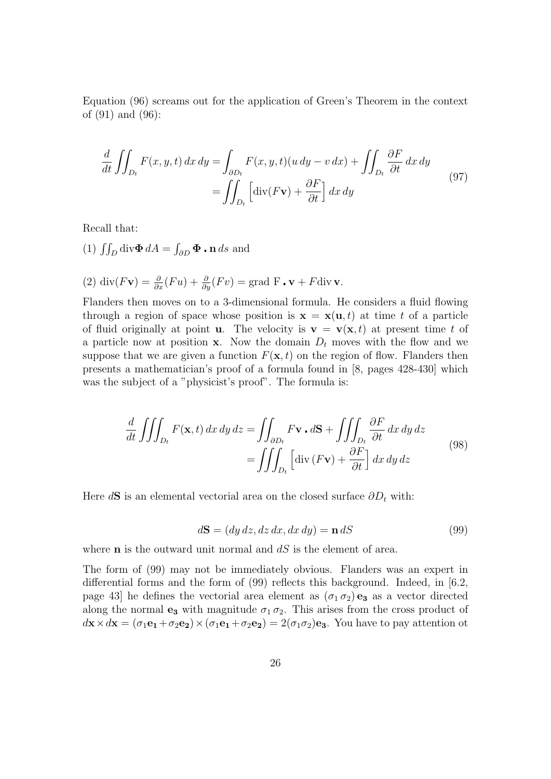Equation (96) screams out for the application of Green's Theorem in the context of (91) and (96):

$$
\frac{d}{dt} \iint_{D_t} F(x, y, t) dx dy = \int_{\partial D_t} F(x, y, t) (u dy - v dx) + \iint_{D_t} \frac{\partial F}{\partial t} dx dy
$$
\n
$$
= \iint_{D_t} \left[ \text{div}(F\mathbf{v}) + \frac{\partial F}{\partial t} \right] dx dy
$$
\n(97)

Recall that:

(1)  $\iint_D \text{div}\mathbf{\Phi} dA = \int_{\partial D} \mathbf{\Phi} \cdot \mathbf{n} ds$  and

(2) div $(Fv) = \frac{\partial}{\partial x}(Fu) + \frac{\partial}{\partial y}(Fv) = \text{grad } F \cdot v + F \text{div } v.$ 

Flanders then moves on to a 3-dimensional formula. He considers a fluid flowing through a region of space whose position is  $\mathbf{x} = \mathbf{x}(\mathbf{u}, t)$  at time t of a particle of fluid originally at point **u**. The velocity is  $\mathbf{v} = \mathbf{v}(\mathbf{x}, t)$  at present time t of a particle now at position **x**. Now the domain  $D_t$  moves with the flow and we suppose that we are given a function  $F(\mathbf{x}, t)$  on the region of flow. Flanders then presents a mathematician's proof of a formula found in [8, pages 428-430] which was the subject of a "physicist's proof". The formula is:

$$
\frac{d}{dt} \iiint_{D_t} F(\mathbf{x}, t) dx dy dz = \iint_{\partial D_t} F \mathbf{v} \cdot d\mathbf{S} + \iiint_{D_t} \frac{\partial F}{\partial t} dx dy dz
$$
\n
$$
= \iiint_{D_t} \left[ \text{div} (F \mathbf{v}) + \frac{\partial F}{\partial t} \right] dx dy dz
$$
\n(98)

Here  $d\mathbf{S}$  is an elemental vectorial area on the closed surface  $\partial D_t$  with:

$$
d\mathbf{S} = (dy\,dz, dz\,dx, dx\,dy) = \mathbf{n}\,dS\tag{99}
$$

where  **is the outward unit normal and**  $dS$  **is the element of area.** 

The form of (99) may not be immediately obvious. Flanders was an expert in differential forms and the form of (99) reflects this background. Indeed, in [6.2, page 43] he defines the vectorial area element as  $(\sigma_1 \sigma_2)$  e<sub>3</sub> as a vector directed along the normal  $e_3$  with magnitude  $\sigma_1 \sigma_2$ . This arises from the cross product of  $d\mathbf{x} \times d\mathbf{x} = (\sigma_1 \mathbf{e}_1 + \sigma_2 \mathbf{e}_2) \times (\sigma_1 \mathbf{e}_1 + \sigma_2 \mathbf{e}_2) = 2(\sigma_1 \sigma_2) \mathbf{e}_3$ . You have to pay attention ot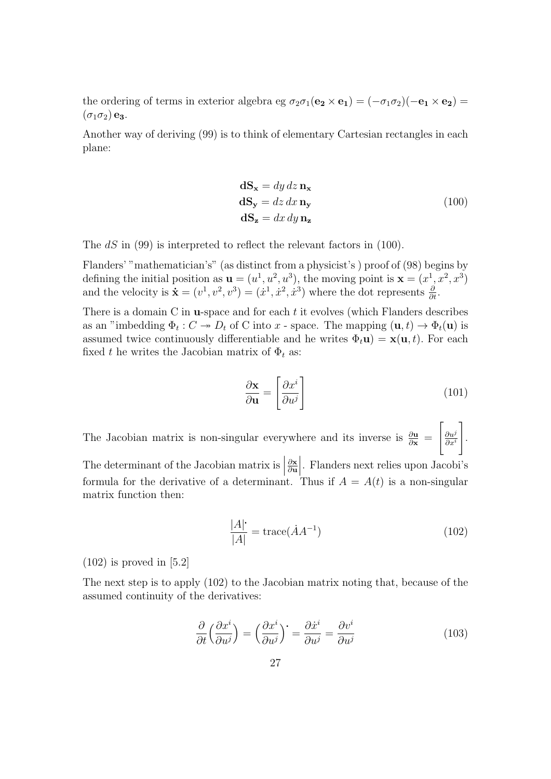the ordering of terms in exterior algebra eg  $\sigma_2\sigma_1(\mathbf{e_2} \times \mathbf{e_1}) = (-\sigma_1\sigma_2)(-\mathbf{e_1} \times \mathbf{e_2}) =$  $(\sigma_1 \sigma_2)$  e<sub>3</sub>.

Another way of deriving (99) is to think of elementary Cartesian rectangles in each plane:

$$
\mathbf{dS_x} = dy \, dz \, \mathbf{n_x}
$$
  
\n
$$
\mathbf{dS_y} = dz \, dx \, \mathbf{n_y}
$$
  
\n
$$
\mathbf{dS_z} = dx \, dy \, \mathbf{n_z}
$$
\n(100)

The dS in (99) is interpreted to reflect the relevant factors in (100).

Flanders' "mathematician's" (as distinct from a physicist's ) proof of (98) begins by defining the initial position as  $\mathbf{u} = (u^1, u^2, u^3)$ , the moving point is  $\mathbf{x} = (x^1, x^2, x^3)$ and the velocity is  $\dot{\mathbf{x}} = (v^1, v^2, v^3) = (\dot{x}^1, \dot{x}^2, \dot{x}^3)$  where the dot represents  $\frac{\partial}{\partial t}$ .

There is a domain C in **u**-space and for each  $t$  it evolves (which Flanders describes as an "imbedding  $\Phi_t: C \to D_t$  of C into x - space. The mapping  $(\mathbf{u}, t) \to \Phi_t(\mathbf{u})$  is assumed twice continuously differentiable and he writes  $\Phi_t \mathbf{u} = \mathbf{x}(\mathbf{u}, t)$ . For each fixed t he writes the Jacobian matrix of  $\Phi_t$  as:

$$
\frac{\partial \mathbf{x}}{\partial \mathbf{u}} = \left[ \frac{\partial x^i}{\partial u^j} \right] \tag{101}
$$

The Jacobian matrix is non-singular everywhere and its inverse is  $\frac{\partial u}{\partial x}$  =  $\int_{\partial u^j}$  $\overline{\partial x^i}$ 1 .

The determinant of the Jacobian matrix is  $\left| \begin{array}{c} 0 & \frac{1}{2} \\ \frac{1}{2} & \frac{1}{2} \\ \frac{1}{2} & \frac{1}{2} \\ \frac{1}{2} & \frac{1}{2} \\ \frac{1}{2} & \frac{1}{2} \\ \frac{1}{2} & \frac{1}{2} \\ \frac{1}{2} & \frac{1}{2} \\ \frac{1}{2} & \frac{1}{2} \\ \frac{1}{2} & \frac{1}{2} \\ \frac{1}{2} & \frac{1}{2} \\ \frac{1}{2} & \frac{1}{$ ∂x ∂u |. Flanders next relies upon Jacobi's formula for the derivative of a determinant. Thus if  $A = A(t)$  is a non-singular matrix function then:

$$
\frac{|A|}{|A|} = \text{trace}(\dot{A}A^{-1})\tag{102}
$$

 $(102)$  is proved in [5.2]

The next step is to apply (102) to the Jacobian matrix noting that, because of the assumed continuity of the derivatives:

$$
\frac{\partial}{\partial t} \left( \frac{\partial x^i}{\partial u^j} \right) = \left( \frac{\partial x^i}{\partial u^j} \right)^{\cdot} = \frac{\partial x^i}{\partial u^j} = \frac{\partial v^i}{\partial u^j}
$$
\n(103)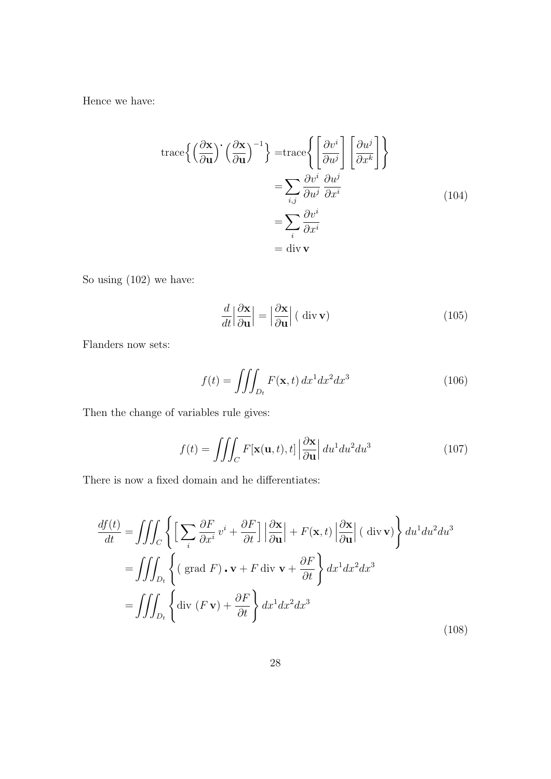Hence we have:

$$
\begin{aligned} \operatorname{trace}\left\{ \left(\frac{\partial \mathbf{x}}{\partial \mathbf{u}}\right)^{-1} \right\} &= \operatorname{trace}\left\{ \left[\frac{\partial v^i}{\partial u^j}\right] \left[\frac{\partial u^j}{\partial x^k}\right] \right\} \\ &= \sum_{i,j} \frac{\partial v^i}{\partial u^j} \frac{\partial u^j}{\partial x^i} \\ &= \sum_i \frac{\partial v^i}{\partial x^i} \\ &= \operatorname{div} \mathbf{v} \end{aligned} \tag{104}
$$

So using (102) we have:

$$
\frac{d}{dt} \left| \frac{\partial \mathbf{x}}{\partial \mathbf{u}} \right| = \left| \frac{\partial \mathbf{x}}{\partial \mathbf{u}} \right| (\text{ div } \mathbf{v}) \tag{105}
$$

Flanders now sets:

$$
f(t) = \iiint_{D_t} F(\mathbf{x}, t) dx^1 dx^2 dx^3
$$
 (106)

Then the change of variables rule gives:

$$
f(t) = \iiint_C F[\mathbf{x}(\mathbf{u}, t), t] \left| \frac{\partial \mathbf{x}}{\partial \mathbf{u}} \right| du^1 du^2 du^3 \tag{107}
$$

There is now a fixed domain and he differentiates:

$$
\frac{df(t)}{dt} = \iiint_C \left\{ \left[ \sum_i \frac{\partial F}{\partial x^i} v^i + \frac{\partial F}{\partial t} \right] \left| \frac{\partial \mathbf{x}}{\partial \mathbf{u}} \right| + F(\mathbf{x}, t) \left| \frac{\partial \mathbf{x}}{\partial \mathbf{u}} \right| (\text{ div } \mathbf{v}) \right\} du^1 du^2 du^3
$$

$$
= \iiint_{D_t} \left\{ (\text{ grad } F) \cdot \mathbf{v} + F \text{ div } \mathbf{v} + \frac{\partial F}{\partial t} \right\} dx^1 dx^2 dx^3
$$

$$
= \iiint_{D_t} \left\{ \text{div } (F \mathbf{v}) + \frac{\partial F}{\partial t} \right\} dx^1 dx^2 dx^3
$$
(108)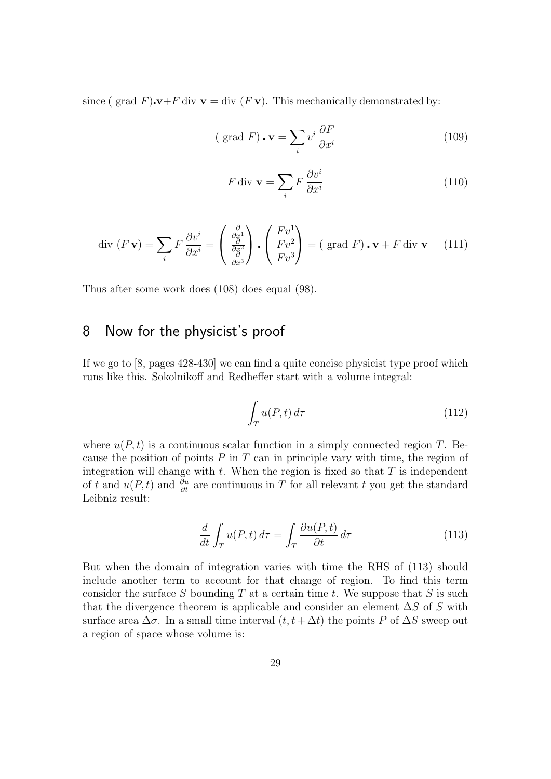since ( grad F). $\mathbf{v}+F$  div  $\mathbf{v} = \text{div}(F \mathbf{v})$ . This mechanically demonstrated by:

$$
\text{( grad } F) \cdot \mathbf{v} = \sum_{i} v^{i} \frac{\partial F}{\partial x^{i}} \tag{109}
$$

$$
F \operatorname{div} \mathbf{v} = \sum_{i} F \frac{\partial v^{i}}{\partial x^{i}} \tag{110}
$$

$$
\text{div}\,\left(F\,\mathbf{v}\right) = \sum_{i} F\,\frac{\partial v^{i}}{\partial x^{i}} = \begin{pmatrix} \frac{\partial}{\partial x^{1}}\\ \frac{\partial}{\partial x^{3}} \end{pmatrix} \cdot \begin{pmatrix} Fv^{1}\\ Fv^{2}\\ Fv^{3} \end{pmatrix} = \text{( grad}\,F) \cdot \mathbf{v} + F \,\text{div}\,\mathbf{v} \tag{111}
$$

Thus after some work does (108) does equal (98).

## 8 Now for the physicist's proof

If we go to [8, pages 428-430] we can find a quite concise physicist type proof which runs like this. Sokolnikoff and Redheffer start with a volume integral:

$$
\int_{T} u(P, t) d\tau \tag{112}
$$

where  $u(P, t)$  is a continuous scalar function in a simply connected region T. Because the position of points  $P$  in  $T$  can in principle vary with time, the region of integration will change with  $t$ . When the region is fixed so that  $T$  is independent of t and  $u(P, t)$  and  $\frac{\partial u}{\partial t}$  are continuous in T for all relevant t you get the standard Leibniz result:

$$
\frac{d}{dt} \int_{T} u(P, t) d\tau = \int_{T} \frac{\partial u(P, t)}{\partial t} d\tau
$$
\n(113)

But when the domain of integration varies with time the RHS of (113) should include another term to account for that change of region. To find this term consider the surface S bounding  $T$  at a certain time t. We suppose that  $S$  is such that the divergence theorem is applicable and consider an element  $\Delta S$  of S with surface area  $\Delta \sigma$ . In a small time interval  $(t, t + \Delta t)$  the points P of  $\Delta S$  sweep out a region of space whose volume is: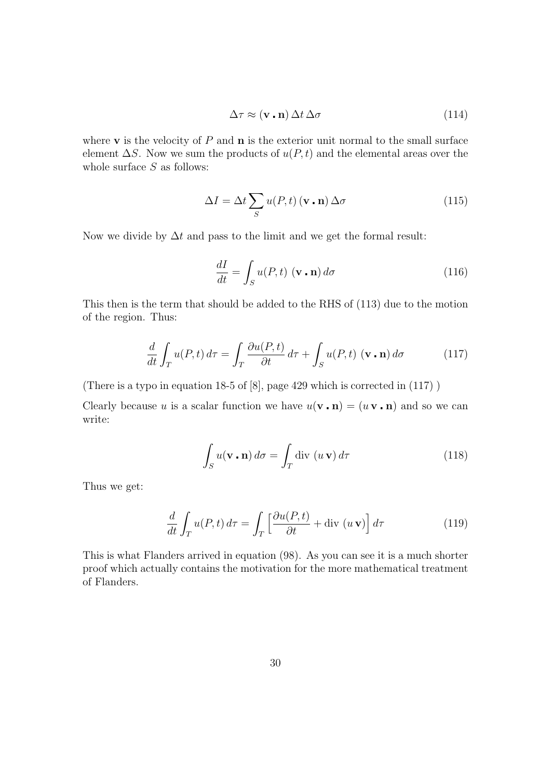$$
\Delta \tau \approx (\mathbf{v} \cdot \mathbf{n}) \, \Delta t \, \Delta \sigma \tag{114}
$$

where  $\bf{v}$  is the velocity of  $P$  and  $\bf{n}$  is the exterior unit normal to the small surface element  $\Delta S$ . Now we sum the products of  $u(P, t)$  and the elemental areas over the whole surface  $S$  as follows:

$$
\Delta I = \Delta t \sum_{S} u(P, t) (\mathbf{v} \cdot \mathbf{n}) \Delta \sigma
$$
 (115)

Now we divide by  $\Delta t$  and pass to the limit and we get the formal result:

$$
\frac{dI}{dt} = \int_{S} u(P, t) \, (\mathbf{v} \cdot \mathbf{n}) \, d\sigma \tag{116}
$$

This then is the term that should be added to the RHS of (113) due to the motion of the region. Thus:

$$
\frac{d}{dt} \int_{T} u(P, t) d\tau = \int_{T} \frac{\partial u(P, t)}{\partial t} d\tau + \int_{S} u(P, t) (\mathbf{v} \cdot \mathbf{n}) d\sigma \tag{117}
$$

(There is a typo in equation 18-5 of [8], page 429 which is corrected in (117) )

Clearly because u is a scalar function we have  $u(\mathbf{v} \cdot \mathbf{n}) = (u \mathbf{v} \cdot \mathbf{n})$  and so we can write:

$$
\int_{S} u(\mathbf{v} \cdot \mathbf{n}) d\sigma = \int_{T} \text{div} \, (u \, \mathbf{v}) d\tau \tag{118}
$$

Thus we get:

$$
\frac{d}{dt} \int_{T} u(P, t) d\tau = \int_{T} \left[ \frac{\partial u(P, t)}{\partial t} + \text{div} \left( u \mathbf{v} \right) \right] d\tau \tag{119}
$$

This is what Flanders arrived in equation (98). As you can see it is a much shorter proof which actually contains the motivation for the more mathematical treatment of Flanders.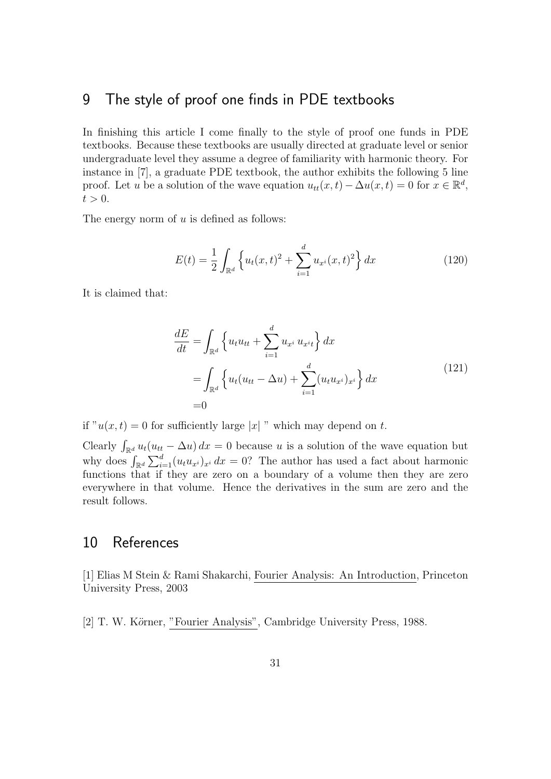### 9 The style of proof one finds in PDE textbooks

In finishing this article I come finally to the style of proof one funds in PDE textbooks. Because these textbooks are usually directed at graduate level or senior undergraduate level they assume a degree of familiarity with harmonic theory. For instance in [7], a graduate PDE textbook, the author exhibits the following 5 line proof. Let u be a solution of the wave equation  $u_{tt}(x,t) - \Delta u(x,t) = 0$  for  $x \in \mathbb{R}^d$ ,  $t > 0$ .

The energy norm of  $u$  is defined as follows:

$$
E(t) = \frac{1}{2} \int_{\mathbb{R}^d} \left\{ u_t(x, t)^2 + \sum_{i=1}^d u_{x^i}(x, t)^2 \right\} dx \tag{120}
$$

It is claimed that:

$$
\frac{dE}{dt} = \int_{\mathbb{R}^d} \left\{ u_t u_{tt} + \sum_{i=1}^d u_{x^i} u_{x^i t} \right\} dx
$$
\n
$$
= \int_{\mathbb{R}^d} \left\{ u_t (u_{tt} - \Delta u) + \sum_{i=1}^d (u_t u_{x^i})_{x^i} \right\} dx
$$
\n
$$
= 0
$$
\n(121)

if " $u(x, t) = 0$  for sufficiently large |x| " which may depend on t.

Clearly  $\int_{\mathbb{R}^d} u_t(u_{tt} - \Delta u) dx = 0$  because u is a solution of the wave equation but why does  $\int_{\mathbb{R}^d} \sum_{i=1}^d (u_t u_{x_i})_{x_i} dx = 0$ ? The author has used a fact about harmonic functions that if they are zero on a boundary of a volume then they are zero everywhere in that volume. Hence the derivatives in the sum are zero and the result follows.

## 10 References

[1] Elias M Stein & Rami Shakarchi, Fourier Analysis: An Introduction, Princeton University Press, 2003

[2] T. W. Körner, "Fourier Analysis", Cambridge University Press, 1988.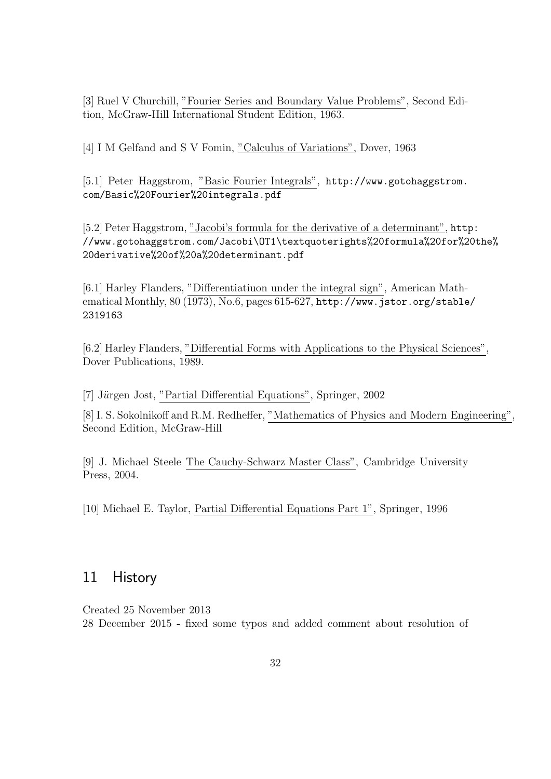[3] Ruel V Churchill, "Fourier Series and Boundary Value Problems", Second Edition, McGraw-Hill International Student Edition, 1963.

[4] I M Gelfand and S V Fomin, "Calculus of Variations", Dover, 1963

[5.1] Peter Haggstrom, "Basic Fourier Integrals", [http://www.gotohaggstrom.](http://www.gotohaggstrom.com/Basic%20Fourier%20integrals.pdf ) [com/Basic%20Fourier%20integrals.pdf](http://www.gotohaggstrom.com/Basic%20Fourier%20integrals.pdf )

[5.2] Peter Haggstrom, "Jacobi's formula for the derivative of a determinant", [http](http://www.gotohaggstrom.com/Jacobi\OT1\textquoteright s%20formula%20for%20the%20derivative%20of%20a%20determinant.pdf): [//www.gotohaggstrom.com/Jacobi\OT1\textquoterights%20formula%20for%2](http://www.gotohaggstrom.com/Jacobi\OT1\textquoteright s%20formula%20for%20the%20derivative%20of%20a%20determinant.pdf)0the% [20derivative%20of%20a%20determinant.pdf](http://www.gotohaggstrom.com/Jacobi\OT1\textquoteright s%20formula%20for%20the%20derivative%20of%20a%20determinant.pdf)

[6.1] Harley Flanders, "Differentiatiuon under the integral sign", American Mathematical Monthly, 80 (1973), No.6, pages 615-627, [http://www.jstor.org/stable](http://www.jstor.org/stable/2319163)/ [2319163](http://www.jstor.org/stable/2319163)

[6.2] Harley Flanders, "Differential Forms with Applications to the Physical Sciences", Dover Publications, 1989.

[7] Jürgen Jost, "Partial Differential Equations", Springer, 2002

[8] I. S. Sokolnikoff and R.M. Redheffer, "Mathematics of Physics and Modern Engineering", Second Edition, McGraw-Hill

[9] J. Michael Steele The Cauchy-Schwarz Master Class", Cambridge University Press, 2004.

[10] Michael E. Taylor, Partial Differential Equations Part 1", Springer, 1996

### 11 History

Created 25 November 2013 28 December 2015 - fixed some typos and added comment about resolution of